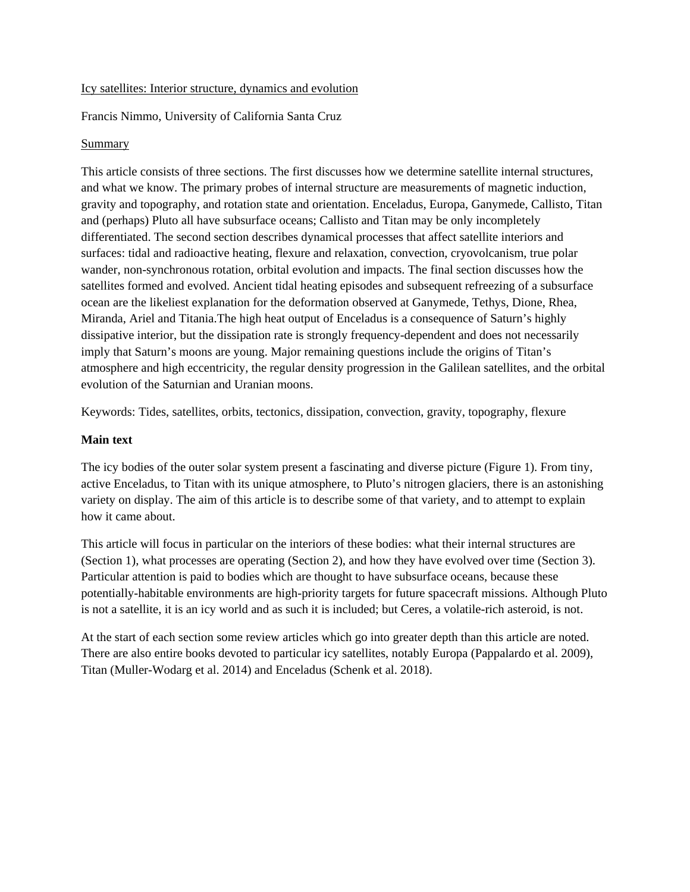#### Icy satellites: Interior structure, dynamics and evolution

Francis Nimmo, University of California Santa Cruz

#### Summary

This article consists of three sections. The first discusses how we determine satellite internal structures, and what we know. The primary probes of internal structure are measurements of magnetic induction, gravity and topography, and rotation state and orientation. Enceladus, Europa, Ganymede, Callisto, Titan and (perhaps) Pluto all have subsurface oceans; Callisto and Titan may be only incompletely differentiated. The second section describes dynamical processes that affect satellite interiors and surfaces: tidal and radioactive heating, flexure and relaxation, convection, cryovolcanism, true polar wander, non-synchronous rotation, orbital evolution and impacts. The final section discusses how the satellites formed and evolved. Ancient tidal heating episodes and subsequent refreezing of a subsurface ocean are the likeliest explanation for the deformation observed at Ganymede, Tethys, Dione, Rhea, Miranda, Ariel and Titania.The high heat output of Enceladus is a consequence of Saturn's highly dissipative interior, but the dissipation rate is strongly frequency-dependent and does not necessarily imply that Saturn's moons are young. Major remaining questions include the origins of Titan's atmosphere and high eccentricity, the regular density progression in the Galilean satellites, and the orbital evolution of the Saturnian and Uranian moons.

Keywords: Tides, satellites, orbits, tectonics, dissipation, convection, gravity, topography, flexure

### **Main text**

The icy bodies of the outer solar system present a fascinating and diverse picture (Figure 1). From tiny, active Enceladus, to Titan with its unique atmosphere, to Pluto's nitrogen glaciers, there is an astonishing variety on display. The aim of this article is to describe some of that variety, and to attempt to explain how it came about.

This article will focus in particular on the interiors of these bodies: what their internal structures are (Section 1), what processes are operating (Section 2), and how they have evolved over time (Section 3). Particular attention is paid to bodies which are thought to have subsurface oceans, because these potentially-habitable environments are high-priority targets for future spacecraft missions. Although Pluto is not a satellite, it is an icy world and as such it is included; but Ceres, a volatile-rich asteroid, is not.

At the start of each section some review articles which go into greater depth than this article are noted. There are also entire books devoted to particular icy satellites, notably Europa (Pappalardo et al. 2009), Titan (Muller-Wodarg et al. 2014) and Enceladus (Schenk et al. 2018).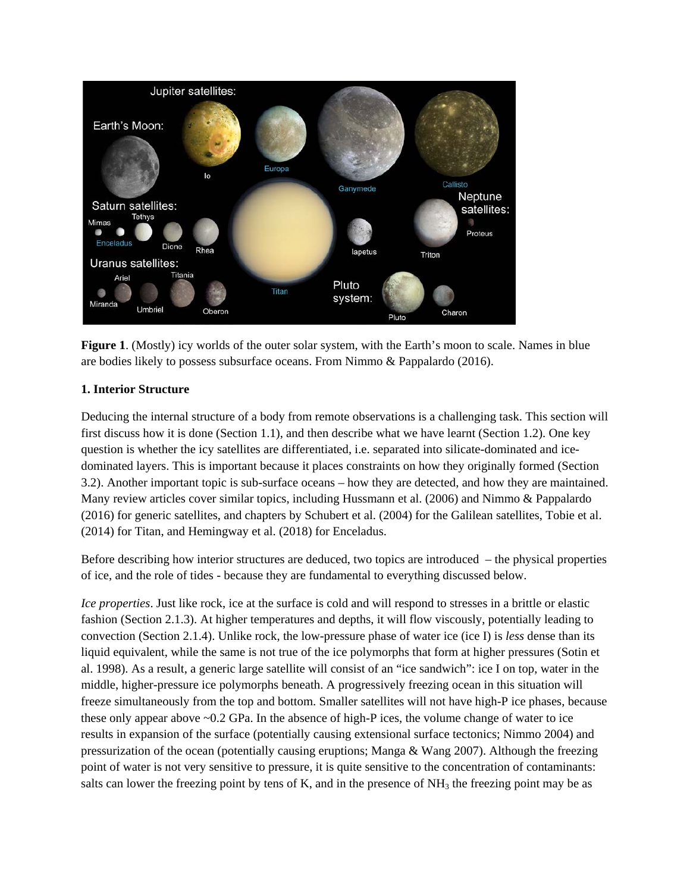

**Figure 1.** (Mostly) icy worlds of the outer solar system, with the Earth's moon to scale. Names in blue are bodies likely to possess subsurface oceans. From Nimmo & Pappalardo (2016).

# **1. Interior Structure**

Deducing the internal structure of a body from remote observations is a challenging task. This section will first discuss how it is done (Section 1.1), and then describe what we have learnt (Section 1.2). One key question is whether the icy satellites are differentiated, i.e. separated into silicate-dominated and icedominated layers. This is important because it places constraints on how they originally formed (Section 3.2). Another important topic is sub-surface oceans – how they are detected, and how they are maintained. Many review articles cover similar topics, including Hussmann et al. (2006) and Nimmo & Pappalardo (2016) for generic satellites, and chapters by Schubert et al. (2004) for the Galilean satellites, Tobie et al. (2014) for Titan, and Hemingway et al. (2018) for Enceladus.

Before describing how interior structures are deduced, two topics are introduced – the physical properties of ice, and the role of tides - because they are fundamental to everything discussed below.

*Ice properties*. Just like rock, ice at the surface is cold and will respond to stresses in a brittle or elastic fashion (Section 2.1.3). At higher temperatures and depths, it will flow viscously, potentially leading to convection (Section 2.1.4). Unlike rock, the low-pressure phase of water ice (ice I) is *less* dense than its liquid equivalent, while the same is not true of the ice polymorphs that form at higher pressures (Sotin et al. 1998). As a result, a generic large satellite will consist of an "ice sandwich": ice I on top, water in the middle, higher-pressure ice polymorphs beneath. A progressively freezing ocean in this situation will freeze simultaneously from the top and bottom. Smaller satellites will not have high-P ice phases, because these only appear above ~0.2 GPa. In the absence of high-P ices, the volume change of water to ice results in expansion of the surface (potentially causing extensional surface tectonics; Nimmo 2004) and pressurization of the ocean (potentially causing eruptions; Manga & Wang 2007). Although the freezing point of water is not very sensitive to pressure, it is quite sensitive to the concentration of contaminants: salts can lower the freezing point by tens of K, and in the presence of  $NH<sub>3</sub>$  the freezing point may be as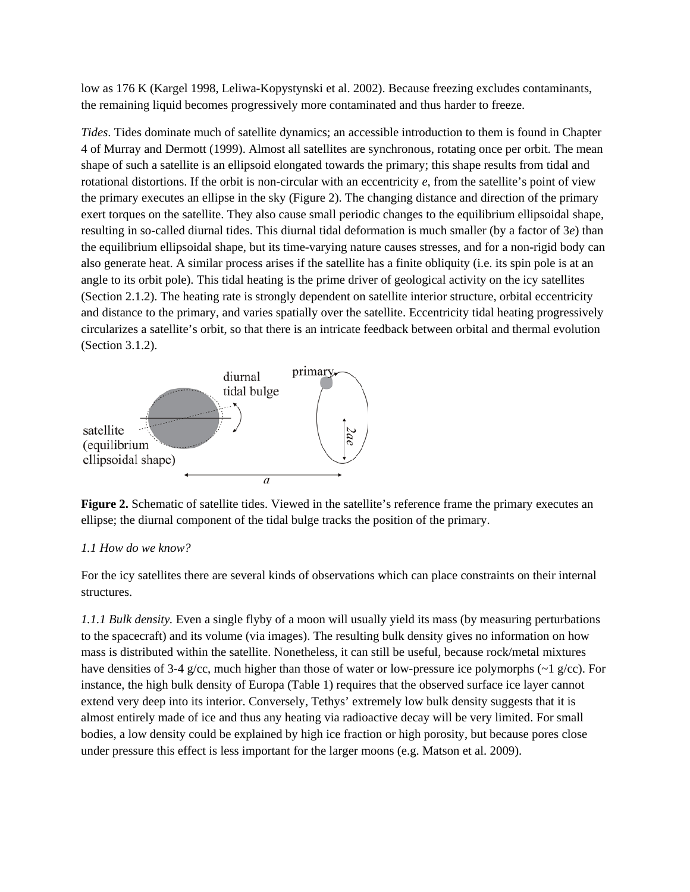low as 176 K (Kargel 1998, Leliwa-Kopystynski et al. 2002). Because freezing excludes contaminants, the remaining liquid becomes progressively more contaminated and thus harder to freeze.

*Tides*. Tides dominate much of satellite dynamics; an accessible introduction to them is found in Chapter 4 of Murray and Dermott (1999). Almost all satellites are synchronous, rotating once per orbit. The mean shape of such a satellite is an ellipsoid elongated towards the primary; this shape results from tidal and rotational distortions. If the orbit is non-circular with an eccentricity *e*, from the satellite's point of view the primary executes an ellipse in the sky (Figure 2). The changing distance and direction of the primary exert torques on the satellite. They also cause small periodic changes to the equilibrium ellipsoidal shape, resulting in so-called diurnal tides. This diurnal tidal deformation is much smaller (by a factor of 3*e*) than the equilibrium ellipsoidal shape, but its time-varying nature causes stresses, and for a non-rigid body can also generate heat. A similar process arises if the satellite has a finite obliquity (i.e. its spin pole is at an angle to its orbit pole). This tidal heating is the prime driver of geological activity on the icy satellites (Section 2.1.2). The heating rate is strongly dependent on satellite interior structure, orbital eccentricity and distance to the primary, and varies spatially over the satellite. Eccentricity tidal heating progressively circularizes a satellite's orbit, so that there is an intricate feedback between orbital and thermal evolution (Section 3.1.2).



**Figure 2.** Schematic of satellite tides. Viewed in the satellite's reference frame the primary executes an ellipse; the diurnal component of the tidal bulge tracks the position of the primary.

# *1.1 How do we know?*

For the icy satellites there are several kinds of observations which can place constraints on their internal structures.

*1.1.1 Bulk density.* Even a single flyby of a moon will usually yield its mass (by measuring perturbations to the spacecraft) and its volume (via images). The resulting bulk density gives no information on how mass is distributed within the satellite. Nonetheless, it can still be useful, because rock/metal mixtures have densities of 3-4 g/cc, much higher than those of water or low-pressure ice polymorphs (~1 g/cc). For instance, the high bulk density of Europa (Table 1) requires that the observed surface ice layer cannot extend very deep into its interior. Conversely, Tethys' extremely low bulk density suggests that it is almost entirely made of ice and thus any heating via radioactive decay will be very limited. For small bodies, a low density could be explained by high ice fraction or high porosity, but because pores close under pressure this effect is less important for the larger moons (e.g. Matson et al. 2009).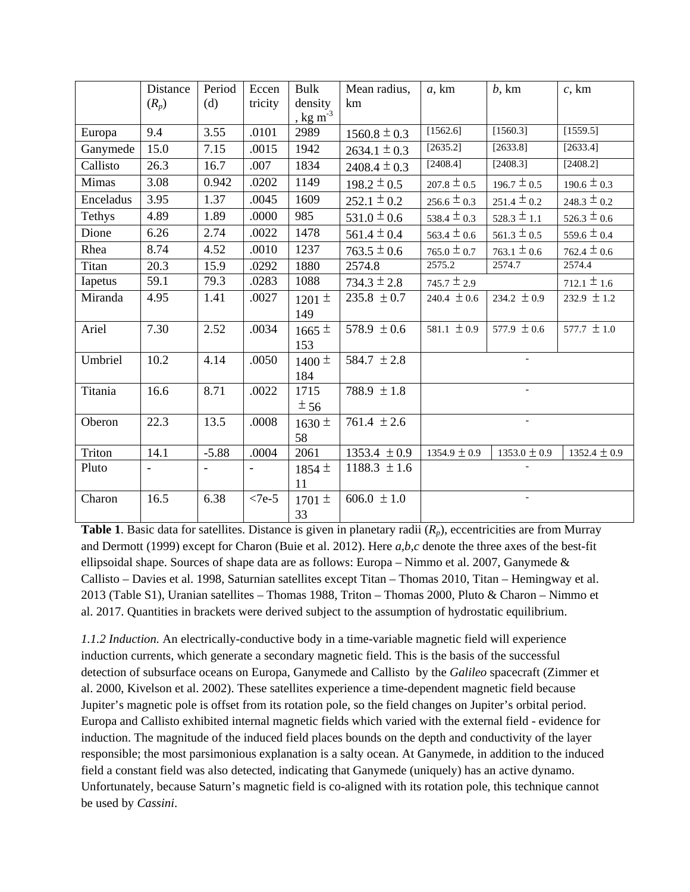|           | Distance | Period  | Eccen   | <b>Bulk</b>                      | Mean radius,     | $a$ , km                           | b, km            | $c$ , km         |
|-----------|----------|---------|---------|----------------------------------|------------------|------------------------------------|------------------|------------------|
|           | $(R_p)$  | (d)     | tricity | density                          | km               |                                    |                  |                  |
|           |          |         |         | $\frac{1}{2}$ kg m <sup>-3</sup> |                  |                                    |                  |                  |
| Europa    | 9.4      | 3.55    | .0101   | 2989                             | $1560.8 \pm 0.3$ | [1562.6]                           | [1560.3]         | [1559.5]         |
| Ganymede  | 15.0     | 7.15    | .0015   | 1942                             | $2634.1 \pm 0.3$ | [2635.2]                           | [2633.8]         | [2633.4]         |
| Callisto  | 26.3     | 16.7    | .007    | 1834                             | $2408.4 \pm 0.3$ | [2408.4]                           | [2408.3]         | [2408.2]         |
| Mimas     | 3.08     | 0.942   | .0202   | 1149                             | $198.2 \pm 0.5$  | $207.8 \pm 0.5$                    | $196.7 \pm 0.5$  | $190.6 \pm 0.3$  |
| Enceladus | 3.95     | 1.37    | .0045   | 1609                             | $252.1 \pm 0.2$  | $256.6 \pm 0.3$                    | $251.4 \pm 0.2$  | $248.3 \pm 0.2$  |
| Tethys    | 4.89     | 1.89    | .0000   | 985                              | $531.0 \pm 0.6$  | 538.4 $\pm$ 0.3                    | $528.3 \pm 1.1$  | $526.3 \pm 0.6$  |
| Dione     | 6.26     | 2.74    | .0022   | 1478                             | $561.4 \pm 0.4$  | $563.4 \pm 0.6$                    | $561.3 \pm 0.5$  | $559.6 \pm 0.4$  |
| Rhea      | 8.74     | 4.52    | .0010   | 1237                             | $763.5 \pm 0.6$  | $765.0 \pm 0.7$                    | $763.1 \pm 0.6$  | $762.4 \pm 0.6$  |
| Titan     | 20.3     | 15.9    | .0292   | 1880                             | 2574.8           | 2575.2                             | 2574.7           | 2574.4           |
| Iapetus   | 59.1     | 79.3    | .0283   | 1088                             | $734.3 \pm 2.8$  | $712.1 \pm 1.6$<br>$745.7 \pm 2.9$ |                  |                  |
| Miranda   | 4.95     | 1.41    | .0027   | $1201 \pm$                       | $235.8 \pm 0.7$  | 240.4 $\pm 0.6$                    | 234.2 $\pm 0.9$  | 232.9 $\pm$ 1.2  |
|           |          |         |         | 149                              |                  |                                    |                  |                  |
| Ariel     | 7.30     | 2.52    | .0034   | $1665 \pm$                       | 578.9 $\pm 0.6$  | 581.1 $\pm$ 0.9                    | 577.9 $\pm$ 0.6  | 577.7 $\pm$ 1.0  |
|           |          |         |         | 153                              |                  |                                    |                  |                  |
| Umbriel   | 10.2     | 4.14    | .0050   | $1400 \pm$                       | 584.7 $\pm 2.8$  |                                    |                  |                  |
|           |          |         |         | 184                              |                  |                                    |                  |                  |
| Titania   | 16.6     | 8.71    | .0022   | 1715                             | 788.9 $\pm 1.8$  |                                    | $\mathcal{L}$    |                  |
|           |          |         |         | ± 56                             |                  |                                    |                  |                  |
| Oberon    | 22.3     | 13.5    | .0008   | $1630 \pm$                       | 761.4 $\pm 2.6$  |                                    | $\equiv$         |                  |
|           |          |         |         | 58                               |                  |                                    |                  |                  |
| Triton    | 14.1     | $-5.88$ | .0004   | 2061                             | 1353.4 $\pm 0.9$ | $1354.9 \pm 0.9$                   | $1353.0 \pm 0.9$ | 1352.4 $\pm$ 0.9 |
| Pluto     |          |         |         | $1854 \pm$                       | $1188.3 \pm 1.6$ |                                    |                  |                  |
|           |          |         |         | 11                               |                  |                                    |                  |                  |
| Charon    | 16.5     | 6.38    | $<7e-5$ | 1701 $\pm$                       | 606.0 $\pm 1.0$  |                                    |                  |                  |
|           |          |         |         | 33                               |                  |                                    |                  |                  |

**Table 1**. Basic data for satellites. Distance is given in planetary radii (*Rp*), eccentricities are from Murray and Dermott (1999) except for Charon (Buie et al. 2012). Here *a,b,c* denote the three axes of the best-fit ellipsoidal shape. Sources of shape data are as follows: Europa – Nimmo et al. 2007, Ganymede  $\&$ Callisto – Davies et al. 1998, Saturnian satellites except Titan – Thomas 2010, Titan – Hemingway et al. 2013 (Table S1), Uranian satellites – Thomas 1988, Triton – Thomas 2000, Pluto & Charon – Nimmo et al. 2017. Quantities in brackets were derived subject to the assumption of hydrostatic equilibrium.

*1.1.2 Induction.* An electrically-conductive body in a time-variable magnetic field will experience induction currents, which generate a secondary magnetic field. This is the basis of the successful detection of subsurface oceans on Europa, Ganymede and Callisto by the *Galileo* spacecraft (Zimmer et al. 2000, Kivelson et al. 2002). These satellites experience a time-dependent magnetic field because Jupiter's magnetic pole is offset from its rotation pole, so the field changes on Jupiter's orbital period. Europa and Callisto exhibited internal magnetic fields which varied with the external field - evidence for induction. The magnitude of the induced field places bounds on the depth and conductivity of the layer responsible; the most parsimonious explanation is a salty ocean. At Ganymede, in addition to the induced field a constant field was also detected, indicating that Ganymede (uniquely) has an active dynamo. Unfortunately, because Saturn's magnetic field is co-aligned with its rotation pole, this technique cannot be used by *Cassini*.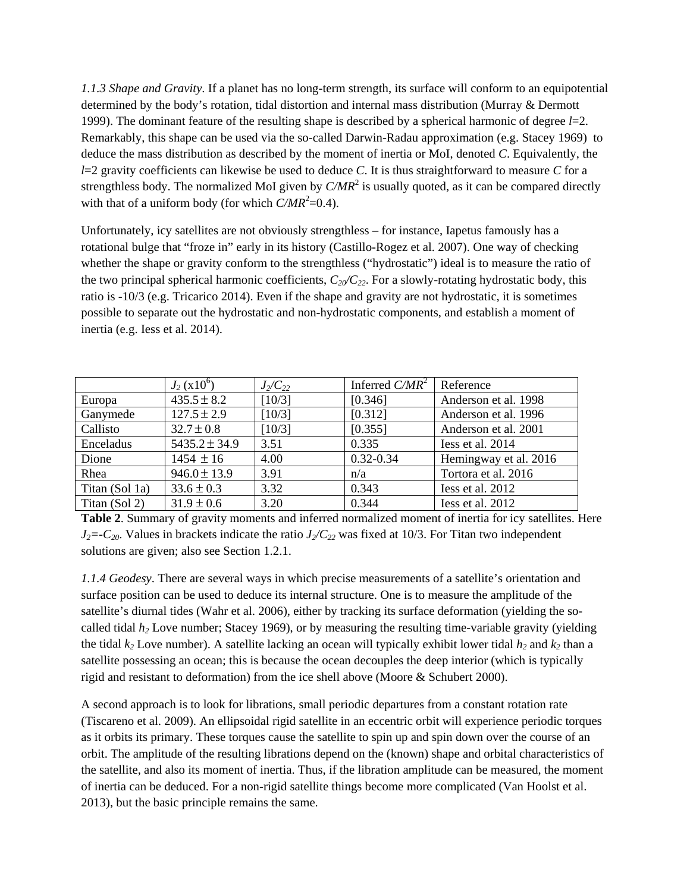*1.1.3 Shape and Gravity*. If a planet has no long-term strength, its surface will conform to an equipotential determined by the body's rotation, tidal distortion and internal mass distribution (Murray & Dermott 1999). The dominant feature of the resulting shape is described by a spherical harmonic of degree  $l=2$ . Remarkably, this shape can be used via the so-called Darwin-Radau approximation (e.g. Stacey 1969) to deduce the mass distribution as described by the moment of inertia or MoI, denoted *C*. Equivalently, the *l*=2 gravity coefficients can likewise be used to deduce *C*. It is thus straightforward to measure *C* for a strengthless body. The normalized MoI given by  $C/MR^2$  is usually quoted, as it can be compared directly with that of a uniform body (for which  $C/MR^2 = 0.4$ ).

Unfortunately, icy satellites are not obviously strengthless – for instance, Iapetus famously has a rotational bulge that "froze in" early in its history (Castillo-Rogez et al. 2007). One way of checking whether the shape or gravity conform to the strengthless ("hydrostatic") ideal is to measure the ratio of the two principal spherical harmonic coefficients,  $C_{20}/C_{22}$ . For a slowly-rotating hydrostatic body, this ratio is -10/3 (e.g. Tricarico 2014). Even if the shape and gravity are not hydrostatic, it is sometimes possible to separate out the hydrostatic and non-hydrostatic components, and establish a moment of inertia (e.g. Iess et al. 2014).

|                | $J_2(x10^6)$      | $J_2/C_{22}$ | Inferred $C/MR^2$ | Reference             |
|----------------|-------------------|--------------|-------------------|-----------------------|
| Europa         | $435.5 \pm 8.2$   | [10/3]       | [0.346]           | Anderson et al. 1998  |
| Ganymede       | $127.5 \pm 2.9$   | [10/3]       | [0.312]           | Anderson et al. 1996  |
| Callisto       | $32.7 \pm 0.8$    | [10/3]       | [0.355]           | Anderson et al. 2001  |
| Enceladus      | $5435.2 \pm 34.9$ | 3.51         | 0.335             | Iess et al. 2014      |
| Dione          | $1454 \pm 16$     | 4.00         | $0.32 - 0.34$     | Hemingway et al. 2016 |
| Rhea           | $946.0 \pm 13.9$  | 3.91         | n/a               | Tortora et al. 2016   |
| Titan (Sol 1a) | $33.6 \pm 0.3$    | 3.32         | 0.343             | Iess et al. 2012      |
| Titan (Sol 2)  | $31.9 \pm 0.6$    | 3.20         | 0.344             | Iess et al. 2012      |

**Table 2**. Summary of gravity moments and inferred normalized moment of inertia for icy satellites. Here  $J_2=-C_{20}$ . Values in brackets indicate the ratio  $J_2/C_{22}$  was fixed at 10/3. For Titan two independent solutions are given; also see Section 1.2.1.

*1.1.4 Geodesy*. There are several ways in which precise measurements of a satellite's orientation and surface position can be used to deduce its internal structure. One is to measure the amplitude of the satellite's diurnal tides (Wahr et al. 2006), either by tracking its surface deformation (yielding the socalled tidal *h2* Love number; Stacey 1969), or by measuring the resulting time-variable gravity (yielding the tidal  $k_2$  Love number). A satellite lacking an ocean will typically exhibit lower tidal  $h_2$  and  $k_2$  than a satellite possessing an ocean; this is because the ocean decouples the deep interior (which is typically rigid and resistant to deformation) from the ice shell above (Moore & Schubert 2000).

A second approach is to look for librations, small periodic departures from a constant rotation rate (Tiscareno et al. 2009). An ellipsoidal rigid satellite in an eccentric orbit will experience periodic torques as it orbits its primary. These torques cause the satellite to spin up and spin down over the course of an orbit. The amplitude of the resulting librations depend on the (known) shape and orbital characteristics of the satellite, and also its moment of inertia. Thus, if the libration amplitude can be measured, the moment of inertia can be deduced. For a non-rigid satellite things become more complicated (Van Hoolst et al. 2013), but the basic principle remains the same.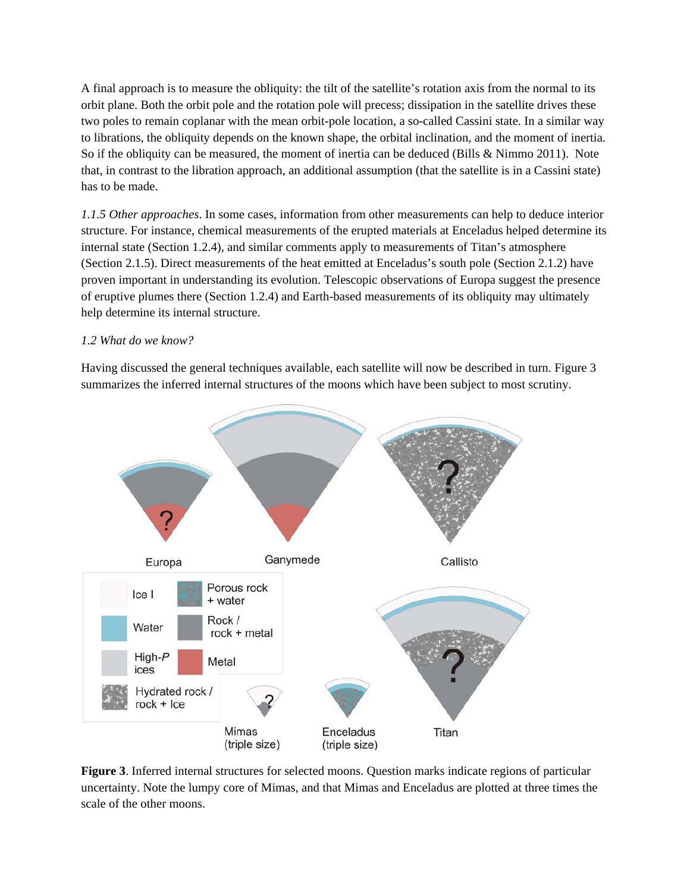A final approach is to measure the obliquity: the tilt of the satellite's rotation axis from the normal to its orbit plane. Both the orbit pole and the rotation pole will precess; dissipation in the satellite drives these two poles to remain coplanar with the mean orbit-pole location, a so-called Cassini state. In a similar way to librations, the obliquity depends on the known shape, the orbital inclination, and the moment of inertia. So if the obliquity can be measured, the moment of inertia can be deduced (Bills & Nimmo 2011). Note that, in contrast to the libration approach, an additional assumption (that the satellite is in a Cassini state) has to be made.

*1.1.5 Other approaches*. In some cases, information from other measurements can help to deduce interior structure. For instance, chemical measurements of the erupted materials at Enceladus helped determine its internal state (Section 1.2.4), and similar comments apply to measurements of Titan's atmosphere (Section 2.1.5). Direct measurements of the heat emitted at Enceladus's south pole (Section 2.1.2) have proven important in understanding its evolution. Telescopic observations of Europa suggest the presence of eruptive plumes there (Section 1.2.4) and Earth-based measurements of its obliquity may ultimately help determine its internal structure.

## *1.2 What do we know?*

Having discussed the general techniques available, each satellite will now be described in turn. Figure 3 summarizes the inferred internal structures of the moons which have been subject to most scrutiny.



**Figure 3**. Inferred internal structures for selected moons. Question marks indicate regions of particular uncertainty. Note the lumpy core of Mimas, and that Mimas and Enceladus are plotted at three times the scale of the other moons.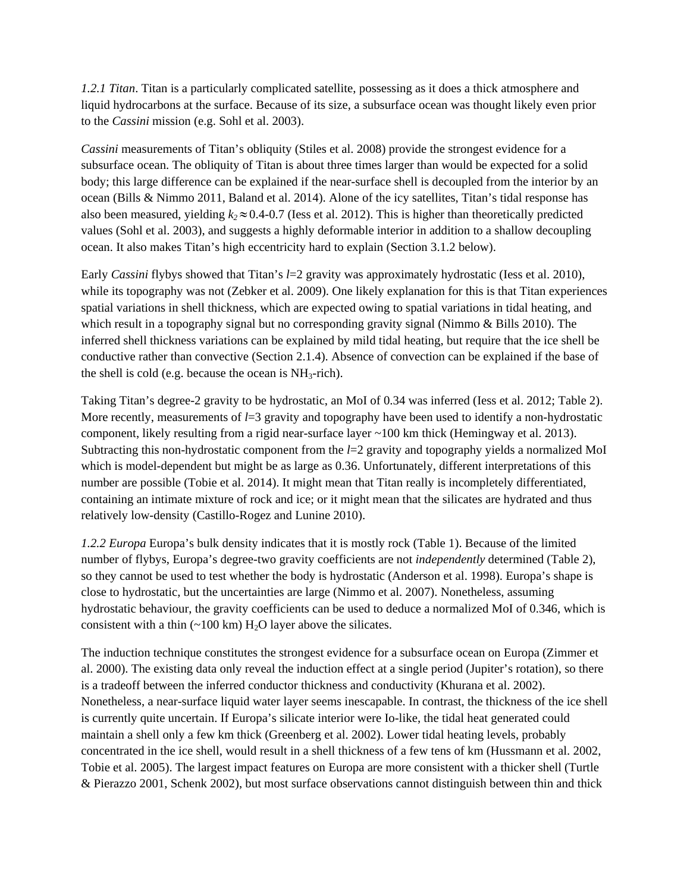*1.2.1 Titan*. Titan is a particularly complicated satellite, possessing as it does a thick atmosphere and liquid hydrocarbons at the surface. Because of its size, a subsurface ocean was thought likely even prior to the *Cassini* mission (e.g. Sohl et al. 2003).

*Cassini* measurements of Titan's obliquity (Stiles et al. 2008) provide the strongest evidence for a subsurface ocean. The obliquity of Titan is about three times larger than would be expected for a solid body; this large difference can be explained if the near-surface shell is decoupled from the interior by an ocean (Bills & Nimmo 2011, Baland et al. 2014). Alone of the icy satellites, Titan's tidal response has also been measured, yielding  $k_2 \approx 0.4$ -0.7 (Iess et al. 2012). This is higher than theoretically predicted values (Sohl et al. 2003), and suggests a highly deformable interior in addition to a shallow decoupling ocean. It also makes Titan's high eccentricity hard to explain (Section 3.1.2 below).

Early *Cassini* flybys showed that Titan's *l*=2 gravity was approximately hydrostatic (Iess et al. 2010), while its topography was not (Zebker et al. 2009). One likely explanation for this is that Titan experiences spatial variations in shell thickness, which are expected owing to spatial variations in tidal heating, and which result in a topography signal but no corresponding gravity signal (Nimmo & Bills 2010). The inferred shell thickness variations can be explained by mild tidal heating, but require that the ice shell be conductive rather than convective (Section 2.1.4). Absence of convection can be explained if the base of the shell is cold (e.g. because the ocean is  $NH_3$ -rich).

Taking Titan's degree-2 gravity to be hydrostatic, an MoI of 0.34 was inferred (Iess et al. 2012; Table 2). More recently, measurements of  $l=3$  gravity and topography have been used to identify a non-hydrostatic component, likely resulting from a rigid near-surface layer ~100 km thick (Hemingway et al. 2013). Subtracting this non-hydrostatic component from the *l*=2 gravity and topography yields a normalized MoI which is model-dependent but might be as large as 0.36. Unfortunately, different interpretations of this number are possible (Tobie et al. 2014). It might mean that Titan really is incompletely differentiated, containing an intimate mixture of rock and ice; or it might mean that the silicates are hydrated and thus relatively low-density (Castillo-Rogez and Lunine 2010).

*1.2.2 Europa* Europa's bulk density indicates that it is mostly rock (Table 1). Because of the limited number of flybys, Europa's degree-two gravity coefficients are not *independently* determined (Table 2), so they cannot be used to test whether the body is hydrostatic (Anderson et al. 1998). Europa's shape is close to hydrostatic, but the uncertainties are large (Nimmo et al. 2007). Nonetheless, assuming hydrostatic behaviour, the gravity coefficients can be used to deduce a normalized MoI of 0.346, which is consistent with a thin  $(\sim 100 \text{ km}) \text{ H}_2\text{O}$  layer above the silicates.

The induction technique constitutes the strongest evidence for a subsurface ocean on Europa (Zimmer et al. 2000). The existing data only reveal the induction effect at a single period (Jupiter's rotation), so there is a tradeoff between the inferred conductor thickness and conductivity (Khurana et al. 2002). Nonetheless, a near-surface liquid water layer seems inescapable. In contrast, the thickness of the ice shell is currently quite uncertain. If Europa's silicate interior were Io-like, the tidal heat generated could maintain a shell only a few km thick (Greenberg et al. 2002). Lower tidal heating levels, probably concentrated in the ice shell, would result in a shell thickness of a few tens of km (Hussmann et al. 2002, Tobie et al. 2005). The largest impact features on Europa are more consistent with a thicker shell (Turtle & Pierazzo 2001, Schenk 2002), but most surface observations cannot distinguish between thin and thick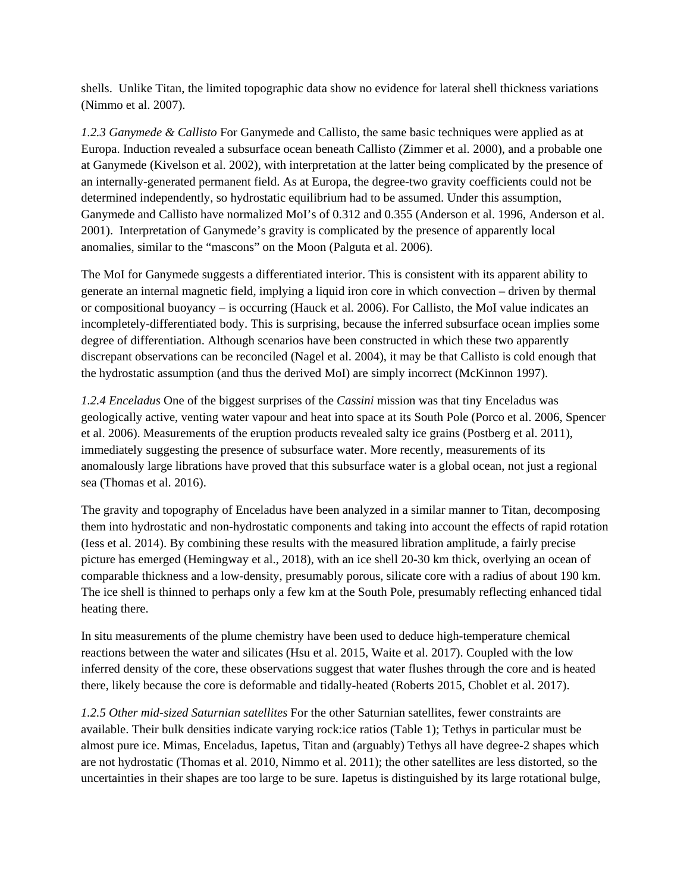shells. Unlike Titan, the limited topographic data show no evidence for lateral shell thickness variations (Nimmo et al. 2007).

*1.2.3 Ganymede & Callisto* For Ganymede and Callisto, the same basic techniques were applied as at Europa. Induction revealed a subsurface ocean beneath Callisto (Zimmer et al. 2000), and a probable one at Ganymede (Kivelson et al. 2002), with interpretation at the latter being complicated by the presence of an internally-generated permanent field. As at Europa, the degree-two gravity coefficients could not be determined independently, so hydrostatic equilibrium had to be assumed. Under this assumption, Ganymede and Callisto have normalized MoI's of 0.312 and 0.355 (Anderson et al. 1996, Anderson et al. 2001). Interpretation of Ganymede's gravity is complicated by the presence of apparently local anomalies, similar to the "mascons" on the Moon (Palguta et al. 2006).

The MoI for Ganymede suggests a differentiated interior. This is consistent with its apparent ability to generate an internal magnetic field, implying a liquid iron core in which convection – driven by thermal or compositional buoyancy – is occurring (Hauck et al. 2006). For Callisto, the MoI value indicates an incompletely-differentiated body. This is surprising, because the inferred subsurface ocean implies some degree of differentiation. Although scenarios have been constructed in which these two apparently discrepant observations can be reconciled (Nagel et al. 2004), it may be that Callisto is cold enough that the hydrostatic assumption (and thus the derived MoI) are simply incorrect (McKinnon 1997).

*1.2.4 Enceladus* One of the biggest surprises of the *Cassini* mission was that tiny Enceladus was geologically active, venting water vapour and heat into space at its South Pole (Porco et al. 2006, Spencer et al. 2006). Measurements of the eruption products revealed salty ice grains (Postberg et al. 2011), immediately suggesting the presence of subsurface water. More recently, measurements of its anomalously large librations have proved that this subsurface water is a global ocean, not just a regional sea (Thomas et al. 2016).

The gravity and topography of Enceladus have been analyzed in a similar manner to Titan, decomposing them into hydrostatic and non-hydrostatic components and taking into account the effects of rapid rotation (Iess et al. 2014). By combining these results with the measured libration amplitude, a fairly precise picture has emerged (Hemingway et al., 2018), with an ice shell 20-30 km thick, overlying an ocean of comparable thickness and a low-density, presumably porous, silicate core with a radius of about 190 km. The ice shell is thinned to perhaps only a few km at the South Pole, presumably reflecting enhanced tidal heating there.

In situ measurements of the plume chemistry have been used to deduce high-temperature chemical reactions between the water and silicates (Hsu et al. 2015, Waite et al. 2017). Coupled with the low inferred density of the core, these observations suggest that water flushes through the core and is heated there, likely because the core is deformable and tidally-heated (Roberts 2015, Choblet et al. 2017).

*1.2.5 Other mid-sized Saturnian satellites* For the other Saturnian satellites, fewer constraints are available. Their bulk densities indicate varying rock:ice ratios (Table 1); Tethys in particular must be almost pure ice. Mimas, Enceladus, Iapetus, Titan and (arguably) Tethys all have degree-2 shapes which are not hydrostatic (Thomas et al. 2010, Nimmo et al. 2011); the other satellites are less distorted, so the uncertainties in their shapes are too large to be sure. Iapetus is distinguished by its large rotational bulge,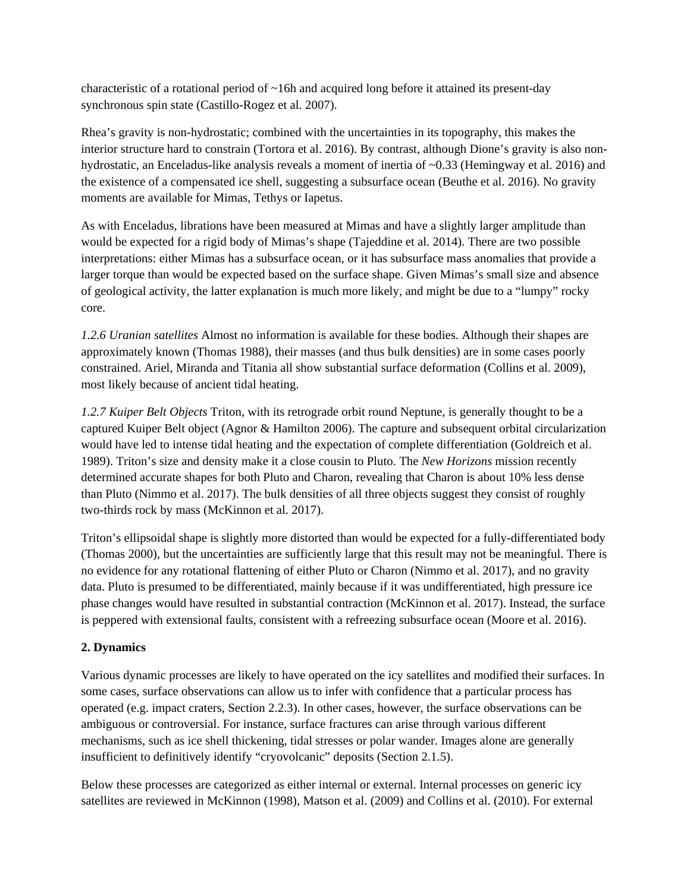characteristic of a rotational period of ~16h and acquired long before it attained its present-day synchronous spin state (Castillo-Rogez et al. 2007).

Rhea's gravity is non-hydrostatic; combined with the uncertainties in its topography, this makes the interior structure hard to constrain (Tortora et al. 2016). By contrast, although Dione's gravity is also nonhydrostatic, an Enceladus-like analysis reveals a moment of inertia of ~0.33 (Hemingway et al. 2016) and the existence of a compensated ice shell, suggesting a subsurface ocean (Beuthe et al. 2016). No gravity moments are available for Mimas, Tethys or Iapetus.

As with Enceladus, librations have been measured at Mimas and have a slightly larger amplitude than would be expected for a rigid body of Mimas's shape (Tajeddine et al. 2014). There are two possible interpretations: either Mimas has a subsurface ocean, or it has subsurface mass anomalies that provide a larger torque than would be expected based on the surface shape. Given Mimas's small size and absence of geological activity, the latter explanation is much more likely, and might be due to a "lumpy" rocky core.

*1.2.6 Uranian satellites* Almost no information is available for these bodies. Although their shapes are approximately known (Thomas 1988), their masses (and thus bulk densities) are in some cases poorly constrained. Ariel, Miranda and Titania all show substantial surface deformation (Collins et al. 2009), most likely because of ancient tidal heating.

*1.2.7 Kuiper Belt Objects* Triton, with its retrograde orbit round Neptune, is generally thought to be a captured Kuiper Belt object (Agnor & Hamilton 2006). The capture and subsequent orbital circularization would have led to intense tidal heating and the expectation of complete differentiation (Goldreich et al. 1989). Triton's size and density make it a close cousin to Pluto. The *New Horizons* mission recently determined accurate shapes for both Pluto and Charon, revealing that Charon is about 10% less dense than Pluto (Nimmo et al. 2017). The bulk densities of all three objects suggest they consist of roughly two-thirds rock by mass (McKinnon et al. 2017).

Triton's ellipsoidal shape is slightly more distorted than would be expected for a fully-differentiated body (Thomas 2000), but the uncertainties are sufficiently large that this result may not be meaningful. There is no evidence for any rotational flattening of either Pluto or Charon (Nimmo et al. 2017), and no gravity data. Pluto is presumed to be differentiated, mainly because if it was undifferentiated, high pressure ice phase changes would have resulted in substantial contraction (McKinnon et al. 2017). Instead, the surface is peppered with extensional faults, consistent with a refreezing subsurface ocean (Moore et al. 2016).

# **2. Dynamics**

Various dynamic processes are likely to have operated on the icy satellites and modified their surfaces. In some cases, surface observations can allow us to infer with confidence that a particular process has operated (e.g. impact craters, Section 2.2.3). In other cases, however, the surface observations can be ambiguous or controversial. For instance, surface fractures can arise through various different mechanisms, such as ice shell thickening, tidal stresses or polar wander. Images alone are generally insufficient to definitively identify "cryovolcanic" deposits (Section 2.1.5).

Below these processes are categorized as either internal or external. Internal processes on generic icy satellites are reviewed in McKinnon (1998), Matson et al. (2009) and Collins et al. (2010). For external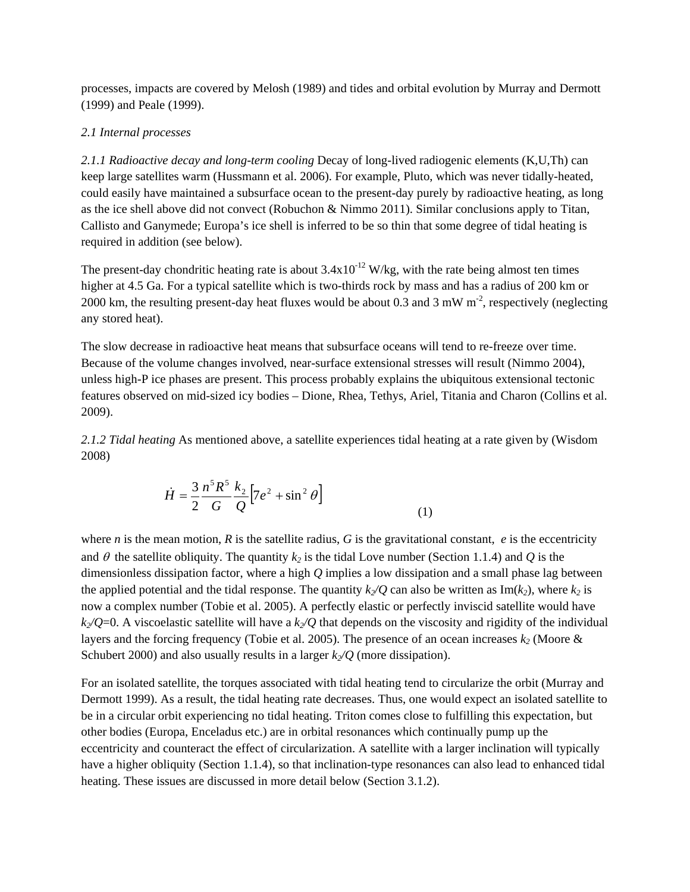processes, impacts are covered by Melosh (1989) and tides and orbital evolution by Murray and Dermott (1999) and Peale (1999).

#### *2.1 Internal processes*

*2.1.1 Radioactive decay and long-term cooling* Decay of long-lived radiogenic elements (K,U,Th) can keep large satellites warm (Hussmann et al. 2006). For example, Pluto, which was never tidally-heated, could easily have maintained a subsurface ocean to the present-day purely by radioactive heating, as long as the ice shell above did not convect (Robuchon & Nimmo 2011). Similar conclusions apply to Titan, Callisto and Ganymede; Europa's ice shell is inferred to be so thin that some degree of tidal heating is required in addition (see below).

The present-day chondritic heating rate is about  $3.4x10^{-12}$  W/kg, with the rate being almost ten times higher at 4.5 Ga. For a typical satellite which is two-thirds rock by mass and has a radius of 200 km or 2000 km, the resulting present-day heat fluxes would be about 0.3 and 3 mW  $m<sup>2</sup>$ , respectively (neglecting any stored heat).

The slow decrease in radioactive heat means that subsurface oceans will tend to re-freeze over time. Because of the volume changes involved, near-surface extensional stresses will result (Nimmo 2004), unless high-P ice phases are present. This process probably explains the ubiquitous extensional tectonic features observed on mid-sized icy bodies – Dione, Rhea, Tethys, Ariel, Titania and Charon (Collins et al. 2009).

*2.1.2 Tidal heating* As mentioned above, a satellite experiences tidal heating at a rate given by (Wisdom 2008)

$$
\dot{H} = \frac{3}{2} \frac{n^5 R^5}{G} \frac{k_2}{Q} \left[ 7e^2 + \sin^2 \theta \right]
$$
(1)

where *n* is the mean motion, *R* is the satellite radius, *G* is the gravitational constant, *e* is the eccentricity and  $\theta$  the satellite obliquity. The quantity  $k_2$  is the tidal Love number (Section 1.1.4) and  $Q$  is the dimensionless dissipation factor, where a high *Q* implies a low dissipation and a small phase lag between the applied potential and the tidal response. The quantity  $k/Q$  can also be written as  $\text{Im}(k_2)$ , where  $k_2$  is now a complex number (Tobie et al. 2005). A perfectly elastic or perfectly inviscid satellite would have  $k_2$ /Q=0. A viscoelastic satellite will have a  $k_2$ /Q that depends on the viscosity and rigidity of the individual layers and the forcing frequency (Tobie et al. 2005). The presence of an ocean increases  $k_2$  (Moore  $\&$ Schubert 2000) and also usually results in a larger  $k_2/Q$  (more dissipation).

For an isolated satellite, the torques associated with tidal heating tend to circularize the orbit (Murray and Dermott 1999). As a result, the tidal heating rate decreases. Thus, one would expect an isolated satellite to be in a circular orbit experiencing no tidal heating. Triton comes close to fulfilling this expectation, but other bodies (Europa, Enceladus etc.) are in orbital resonances which continually pump up the eccentricity and counteract the effect of circularization. A satellite with a larger inclination will typically have a higher obliquity (Section 1.1.4), so that inclination-type resonances can also lead to enhanced tidal heating. These issues are discussed in more detail below (Section 3.1.2).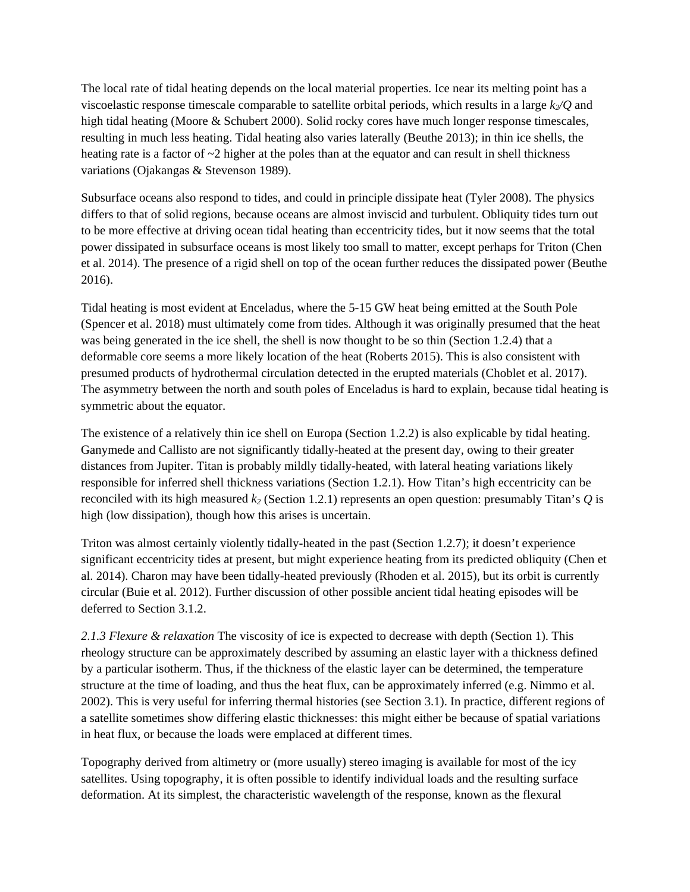The local rate of tidal heating depends on the local material properties. Ice near its melting point has a viscoelastic response timescale comparable to satellite orbital periods, which results in a large  $k_2/Q$  and high tidal heating (Moore & Schubert 2000). Solid rocky cores have much longer response timescales, resulting in much less heating. Tidal heating also varies laterally (Beuthe 2013); in thin ice shells, the heating rate is a factor of  $\sim$ 2 higher at the poles than at the equator and can result in shell thickness variations (Ojakangas & Stevenson 1989).

Subsurface oceans also respond to tides, and could in principle dissipate heat (Tyler 2008). The physics differs to that of solid regions, because oceans are almost inviscid and turbulent. Obliquity tides turn out to be more effective at driving ocean tidal heating than eccentricity tides, but it now seems that the total power dissipated in subsurface oceans is most likely too small to matter, except perhaps for Triton (Chen et al. 2014). The presence of a rigid shell on top of the ocean further reduces the dissipated power (Beuthe 2016).

Tidal heating is most evident at Enceladus, where the 5-15 GW heat being emitted at the South Pole (Spencer et al. 2018) must ultimately come from tides. Although it was originally presumed that the heat was being generated in the ice shell, the shell is now thought to be so thin (Section 1.2.4) that a deformable core seems a more likely location of the heat (Roberts 2015). This is also consistent with presumed products of hydrothermal circulation detected in the erupted materials (Choblet et al. 2017). The asymmetry between the north and south poles of Enceladus is hard to explain, because tidal heating is symmetric about the equator.

The existence of a relatively thin ice shell on Europa (Section 1.2.2) is also explicable by tidal heating. Ganymede and Callisto are not significantly tidally-heated at the present day, owing to their greater distances from Jupiter. Titan is probably mildly tidally-heated, with lateral heating variations likely responsible for inferred shell thickness variations (Section 1.2.1). How Titan's high eccentricity can be reconciled with its high measured *k2* (Section 1.2.1) represents an open question: presumably Titan's *Q* is high (low dissipation), though how this arises is uncertain.

Triton was almost certainly violently tidally-heated in the past (Section 1.2.7); it doesn't experience significant eccentricity tides at present, but might experience heating from its predicted obliquity (Chen et al. 2014). Charon may have been tidally-heated previously (Rhoden et al. 2015), but its orbit is currently circular (Buie et al. 2012). Further discussion of other possible ancient tidal heating episodes will be deferred to Section 3.1.2.

*2.1.3 Flexure & relaxation* The viscosity of ice is expected to decrease with depth (Section 1). This rheology structure can be approximately described by assuming an elastic layer with a thickness defined by a particular isotherm. Thus, if the thickness of the elastic layer can be determined, the temperature structure at the time of loading, and thus the heat flux, can be approximately inferred (e.g. Nimmo et al. 2002). This is very useful for inferring thermal histories (see Section 3.1). In practice, different regions of a satellite sometimes show differing elastic thicknesses: this might either be because of spatial variations in heat flux, or because the loads were emplaced at different times.

Topography derived from altimetry or (more usually) stereo imaging is available for most of the icy satellites. Using topography, it is often possible to identify individual loads and the resulting surface deformation. At its simplest, the characteristic wavelength of the response, known as the flexural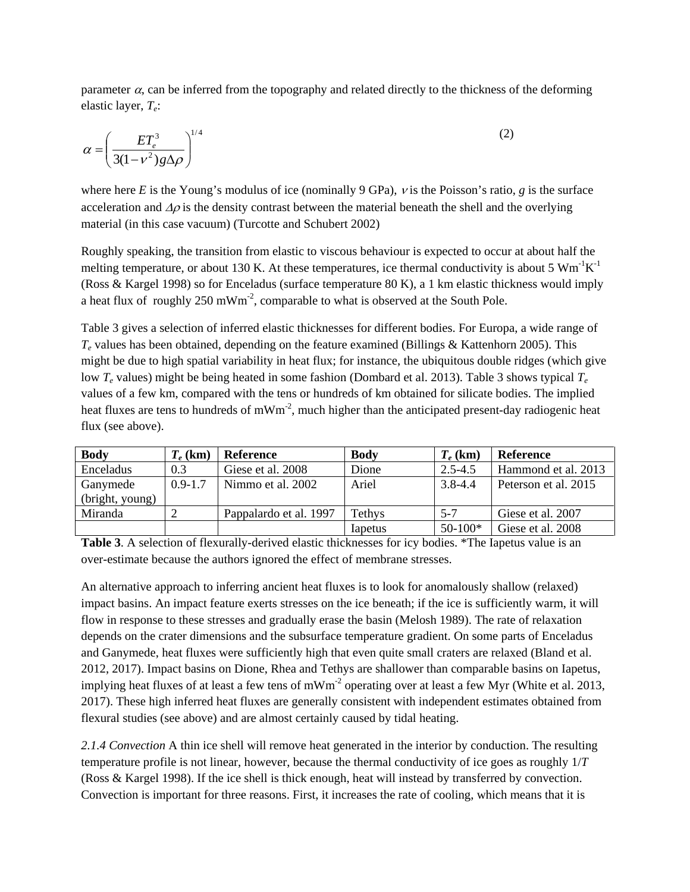parameter  $\alpha$ , can be inferred from the topography and related directly to the thickness of the deforming elastic layer, *Te*:

$$
\alpha = \left(\frac{ET_e^3}{3(1 - v^2)g\Delta\rho}\right)^{1/4} \tag{2}
$$

where here *E* is the Young's modulus of ice (nominally 9 GPa), <sup>ν</sup> is the Poisson's ratio, *g* is the surface acceleration and  $\Delta \rho$  is the density contrast between the material beneath the shell and the overlying material (in this case vacuum) (Turcotte and Schubert 2002)

Roughly speaking, the transition from elastic to viscous behaviour is expected to occur at about half the melting temperature, or about 130 K. At these temperatures, ice thermal conductivity is about 5  $\text{Wm}$ <sup>-1</sup> $\text{K}$ <sup>-1</sup> (Ross & Kargel 1998) so for Enceladus (surface temperature 80 K), a 1 km elastic thickness would imply a heat flux of roughly  $250 \text{ mWm}^2$ , comparable to what is observed at the South Pole.

Table 3 gives a selection of inferred elastic thicknesses for different bodies. For Europa, a wide range of *Te* values has been obtained, depending on the feature examined (Billings & Kattenhorn 2005). This might be due to high spatial variability in heat flux; for instance, the ubiquitous double ridges (which give low *Te* values) might be being heated in some fashion (Dombard et al. 2013). Table 3 shows typical *Te* values of a few km, compared with the tens or hundreds of km obtained for silicate bodies. The implied heat fluxes are tens to hundreds of m $Wm^{-2}$ , much higher than the anticipated present-day radiogenic heat flux (see above).

| <b>Body</b>     | $T_e$ (km)  | <b>Reference</b>       | <b>Body</b> | $T_e$ (km)  | Reference            |
|-----------------|-------------|------------------------|-------------|-------------|----------------------|
| Enceladus       | 0.3         | Giese et al. 2008      | Dione       | $2.5 - 4.5$ | Hammond et al. 2013  |
| Ganymede        | $0.9 - 1.7$ | Nimmo et al. 2002      | Ariel       | $3.8 - 4.4$ | Peterson et al. 2015 |
| (bright, young) |             |                        |             |             |                      |
| Miranda         |             | Pappalardo et al. 1997 | Tethys      | $5 - 7$     | Giese et al. 2007    |
|                 |             |                        | Iapetus     | $50-100*$   | Giese et al. 2008    |

**Table 3**. A selection of flexurally-derived elastic thicknesses for icy bodies. \*The Iapetus value is an over-estimate because the authors ignored the effect of membrane stresses.

An alternative approach to inferring ancient heat fluxes is to look for anomalously shallow (relaxed) impact basins. An impact feature exerts stresses on the ice beneath; if the ice is sufficiently warm, it will flow in response to these stresses and gradually erase the basin (Melosh 1989). The rate of relaxation depends on the crater dimensions and the subsurface temperature gradient. On some parts of Enceladus and Ganymede, heat fluxes were sufficiently high that even quite small craters are relaxed (Bland et al. 2012, 2017). Impact basins on Dione, Rhea and Tethys are shallower than comparable basins on Iapetus, implying heat fluxes of at least a few tens of mWm<sup>-2</sup> operating over at least a few Myr (White et al. 2013, 2017). These high inferred heat fluxes are generally consistent with independent estimates obtained from flexural studies (see above) and are almost certainly caused by tidal heating.

*2.1.4 Convection* A thin ice shell will remove heat generated in the interior by conduction. The resulting temperature profile is not linear, however, because the thermal conductivity of ice goes as roughly 1/*T* (Ross & Kargel 1998). If the ice shell is thick enough, heat will instead by transferred by convection. Convection is important for three reasons. First, it increases the rate of cooling, which means that it is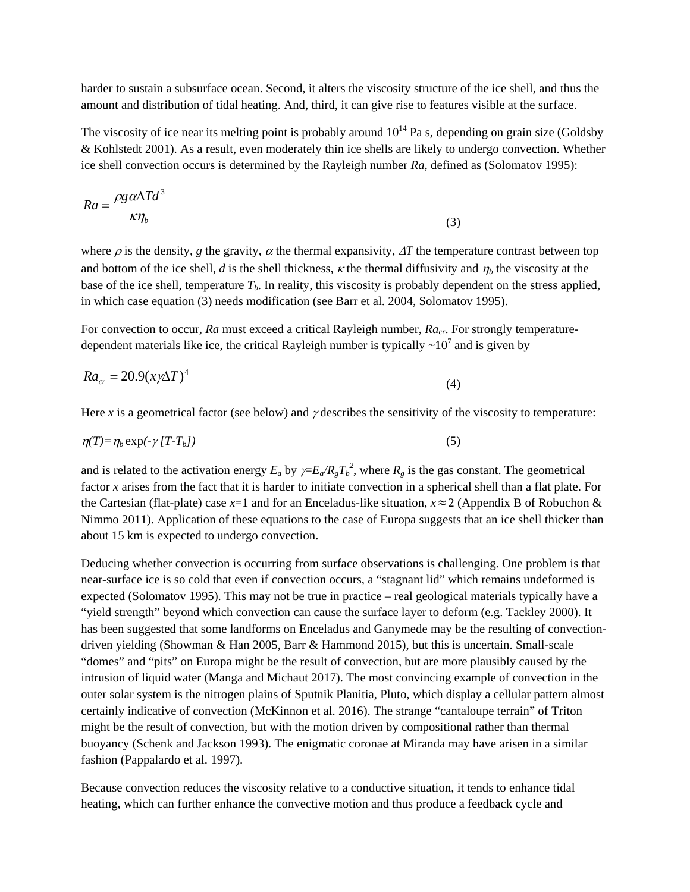harder to sustain a subsurface ocean. Second, it alters the viscosity structure of the ice shell, and thus the amount and distribution of tidal heating. And, third, it can give rise to features visible at the surface.

The viscosity of ice near its melting point is probably around  $10^{14}$  Pa s, depending on grain size (Goldsby & Kohlstedt 2001). As a result, even moderately thin ice shells are likely to undergo convection. Whether ice shell convection occurs is determined by the Rayleigh number *Ra*, defined as (Solomatov 1995):

$$
Ra = \frac{\rho g \alpha \Delta T d^3}{\kappa \eta_b} \tag{3}
$$

where  $\rho$  is the density, *g* the gravity,  $\alpha$  the thermal expansivity,  $\Delta T$  the temperature contrast between top and bottom of the ice shell, *d* is the shell thickness,  $\kappa$  the thermal diffusivity and  $\eta_b$  the viscosity at the base of the ice shell, temperature  $T_b$ . In reality, this viscosity is probably dependent on the stress applied, in which case equation (3) needs modification (see Barr et al. 2004, Solomatov 1995).

For convection to occur, *Ra* must exceed a critical Rayleigh number, *Ra<sub>cr</sub>*. For strongly temperaturedependent materials like ice, the critical Rayleigh number is typically  $\sim 10^7$  and is given by

$$
Ra_{cr} = 20.9(x\gamma\Delta T)^4\tag{4}
$$

Here *x* is a geometrical factor (see below) and  $\gamma$  describes the sensitivity of the viscosity to temperature:

$$
\eta(T) = \eta_b \exp(-\gamma \left( T - T_b \right)) \tag{5}
$$

and is related to the activation energy  $E_a$  by  $\gamma = E_a / R_g T_b^2$ , where  $R_g$  is the gas constant. The geometrical factor *x* arises from the fact that it is harder to initiate convection in a spherical shell than a flat plate. For the Cartesian (flat-plate) case  $x=1$  and for an Enceladus-like situation,  $x \approx 2$  (Appendix B of Robuchon & Nimmo 2011). Application of these equations to the case of Europa suggests that an ice shell thicker than about 15 km is expected to undergo convection.

Deducing whether convection is occurring from surface observations is challenging. One problem is that near-surface ice is so cold that even if convection occurs, a "stagnant lid" which remains undeformed is expected (Solomatov 1995). This may not be true in practice – real geological materials typically have a "yield strength" beyond which convection can cause the surface layer to deform (e.g. Tackley 2000). It has been suggested that some landforms on Enceladus and Ganymede may be the resulting of convectiondriven yielding (Showman & Han 2005, Barr & Hammond 2015), but this is uncertain. Small-scale "domes" and "pits" on Europa might be the result of convection, but are more plausibly caused by the intrusion of liquid water (Manga and Michaut 2017). The most convincing example of convection in the outer solar system is the nitrogen plains of Sputnik Planitia, Pluto, which display a cellular pattern almost certainly indicative of convection (McKinnon et al. 2016). The strange "cantaloupe terrain" of Triton might be the result of convection, but with the motion driven by compositional rather than thermal buoyancy (Schenk and Jackson 1993). The enigmatic coronae at Miranda may have arisen in a similar fashion (Pappalardo et al. 1997).

Because convection reduces the viscosity relative to a conductive situation, it tends to enhance tidal heating, which can further enhance the convective motion and thus produce a feedback cycle and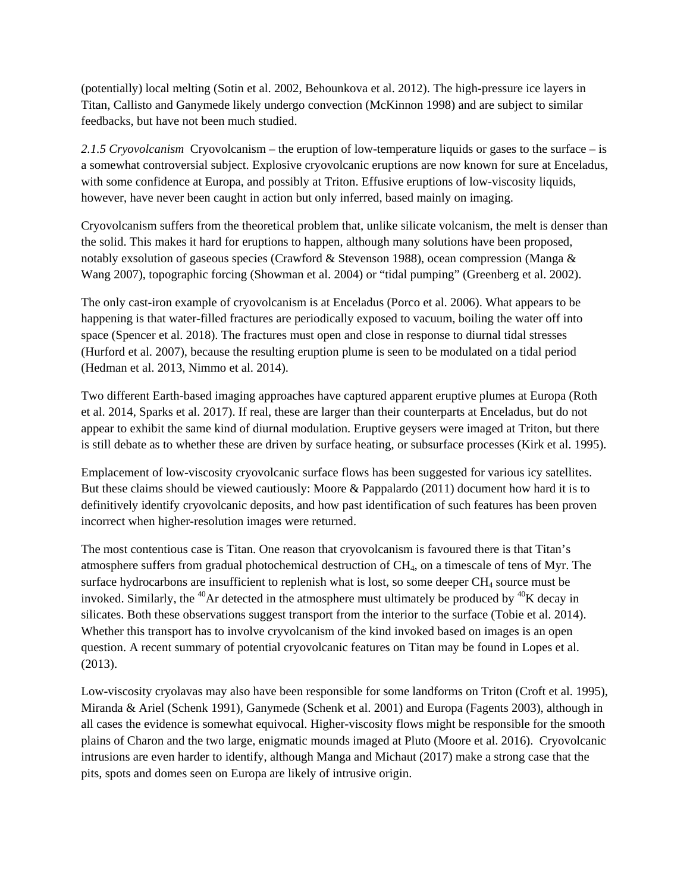(potentially) local melting (Sotin et al. 2002, Behounkova et al. 2012). The high-pressure ice layers in Titan, Callisto and Ganymede likely undergo convection (McKinnon 1998) and are subject to similar feedbacks, but have not been much studied.

*2.1.5 Cryovolcanism* Cryovolcanism – the eruption of low-temperature liquids or gases to the surface – is a somewhat controversial subject. Explosive cryovolcanic eruptions are now known for sure at Enceladus, with some confidence at Europa, and possibly at Triton. Effusive eruptions of low-viscosity liquids, however, have never been caught in action but only inferred, based mainly on imaging.

Cryovolcanism suffers from the theoretical problem that, unlike silicate volcanism, the melt is denser than the solid. This makes it hard for eruptions to happen, although many solutions have been proposed, notably exsolution of gaseous species (Crawford & Stevenson 1988), ocean compression (Manga & Wang 2007), topographic forcing (Showman et al. 2004) or "tidal pumping" (Greenberg et al. 2002).

The only cast-iron example of cryovolcanism is at Enceladus (Porco et al. 2006). What appears to be happening is that water-filled fractures are periodically exposed to vacuum, boiling the water off into space (Spencer et al. 2018). The fractures must open and close in response to diurnal tidal stresses (Hurford et al. 2007), because the resulting eruption plume is seen to be modulated on a tidal period (Hedman et al. 2013, Nimmo et al. 2014).

Two different Earth-based imaging approaches have captured apparent eruptive plumes at Europa (Roth et al. 2014, Sparks et al. 2017). If real, these are larger than their counterparts at Enceladus, but do not appear to exhibit the same kind of diurnal modulation. Eruptive geysers were imaged at Triton, but there is still debate as to whether these are driven by surface heating, or subsurface processes (Kirk et al. 1995).

Emplacement of low-viscosity cryovolcanic surface flows has been suggested for various icy satellites. But these claims should be viewed cautiously: Moore & Pappalardo (2011) document how hard it is to definitively identify cryovolcanic deposits, and how past identification of such features has been proven incorrect when higher-resolution images were returned.

The most contentious case is Titan. One reason that cryovolcanism is favoured there is that Titan's atmosphere suffers from gradual photochemical destruction of  $CH<sub>4</sub>$ , on a timescale of tens of Myr. The surface hydrocarbons are insufficient to replenish what is lost, so some deeper  $CH<sub>4</sub>$  source must be invoked. Similarly, the  $^{40}$ Ar detected in the atmosphere must ultimately be produced by  $^{40}$ K decay in silicates. Both these observations suggest transport from the interior to the surface (Tobie et al. 2014). Whether this transport has to involve cryvolcanism of the kind invoked based on images is an open question. A recent summary of potential cryovolcanic features on Titan may be found in Lopes et al. (2013).

Low-viscosity cryolavas may also have been responsible for some landforms on Triton (Croft et al. 1995), Miranda & Ariel (Schenk 1991), Ganymede (Schenk et al. 2001) and Europa (Fagents 2003), although in all cases the evidence is somewhat equivocal. Higher-viscosity flows might be responsible for the smooth plains of Charon and the two large, enigmatic mounds imaged at Pluto (Moore et al. 2016). Cryovolcanic intrusions are even harder to identify, although Manga and Michaut (2017) make a strong case that the pits, spots and domes seen on Europa are likely of intrusive origin.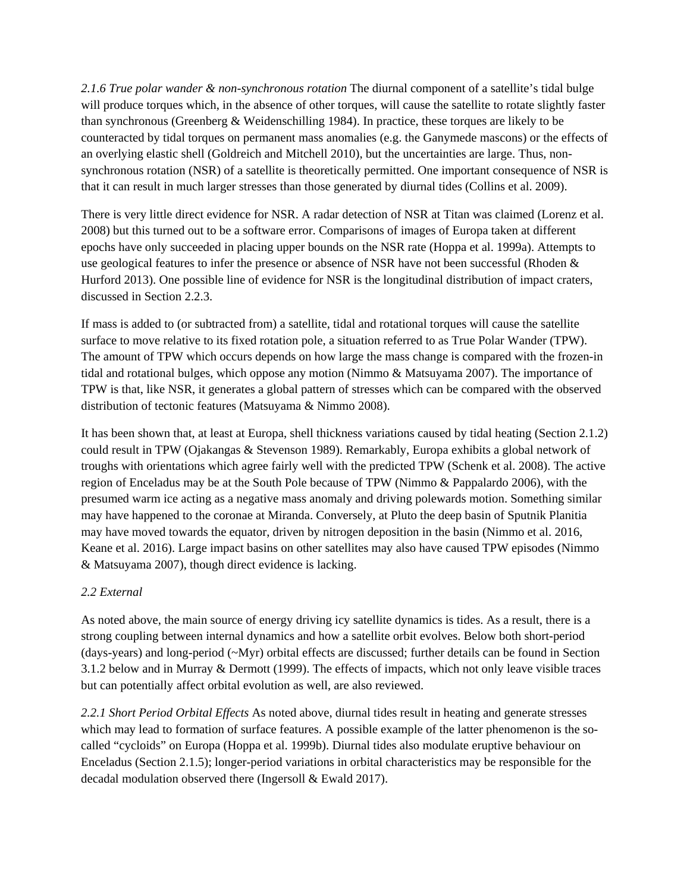*2.1.6 True polar wander & non-synchronous rotation* The diurnal component of a satellite's tidal bulge will produce torques which, in the absence of other torques, will cause the satellite to rotate slightly faster than synchronous (Greenberg & Weidenschilling 1984). In practice, these torques are likely to be counteracted by tidal torques on permanent mass anomalies (e.g. the Ganymede mascons) or the effects of an overlying elastic shell (Goldreich and Mitchell 2010), but the uncertainties are large. Thus, nonsynchronous rotation (NSR) of a satellite is theoretically permitted. One important consequence of NSR is that it can result in much larger stresses than those generated by diurnal tides (Collins et al. 2009).

There is very little direct evidence for NSR. A radar detection of NSR at Titan was claimed (Lorenz et al. 2008) but this turned out to be a software error. Comparisons of images of Europa taken at different epochs have only succeeded in placing upper bounds on the NSR rate (Hoppa et al. 1999a). Attempts to use geological features to infer the presence or absence of NSR have not been successful (Rhoden & Hurford 2013). One possible line of evidence for NSR is the longitudinal distribution of impact craters, discussed in Section 2.2.3.

If mass is added to (or subtracted from) a satellite, tidal and rotational torques will cause the satellite surface to move relative to its fixed rotation pole, a situation referred to as True Polar Wander (TPW). The amount of TPW which occurs depends on how large the mass change is compared with the frozen-in tidal and rotational bulges, which oppose any motion (Nimmo & Matsuyama 2007). The importance of TPW is that, like NSR, it generates a global pattern of stresses which can be compared with the observed distribution of tectonic features (Matsuyama & Nimmo 2008).

It has been shown that, at least at Europa, shell thickness variations caused by tidal heating (Section 2.1.2) could result in TPW (Ojakangas & Stevenson 1989). Remarkably, Europa exhibits a global network of troughs with orientations which agree fairly well with the predicted TPW (Schenk et al. 2008). The active region of Enceladus may be at the South Pole because of TPW (Nimmo & Pappalardo 2006), with the presumed warm ice acting as a negative mass anomaly and driving polewards motion. Something similar may have happened to the coronae at Miranda. Conversely, at Pluto the deep basin of Sputnik Planitia may have moved towards the equator, driven by nitrogen deposition in the basin (Nimmo et al. 2016, Keane et al. 2016). Large impact basins on other satellites may also have caused TPW episodes (Nimmo & Matsuyama 2007), though direct evidence is lacking.

# *2.2 External*

As noted above, the main source of energy driving icy satellite dynamics is tides. As a result, there is a strong coupling between internal dynamics and how a satellite orbit evolves. Below both short-period (days-years) and long-period (~Myr) orbital effects are discussed; further details can be found in Section 3.1.2 below and in Murray & Dermott (1999). The effects of impacts, which not only leave visible traces but can potentially affect orbital evolution as well, are also reviewed.

*2.2.1 Short Period Orbital Effects* As noted above, diurnal tides result in heating and generate stresses which may lead to formation of surface features. A possible example of the latter phenomenon is the socalled "cycloids" on Europa (Hoppa et al. 1999b). Diurnal tides also modulate eruptive behaviour on Enceladus (Section 2.1.5); longer-period variations in orbital characteristics may be responsible for the decadal modulation observed there (Ingersoll & Ewald 2017).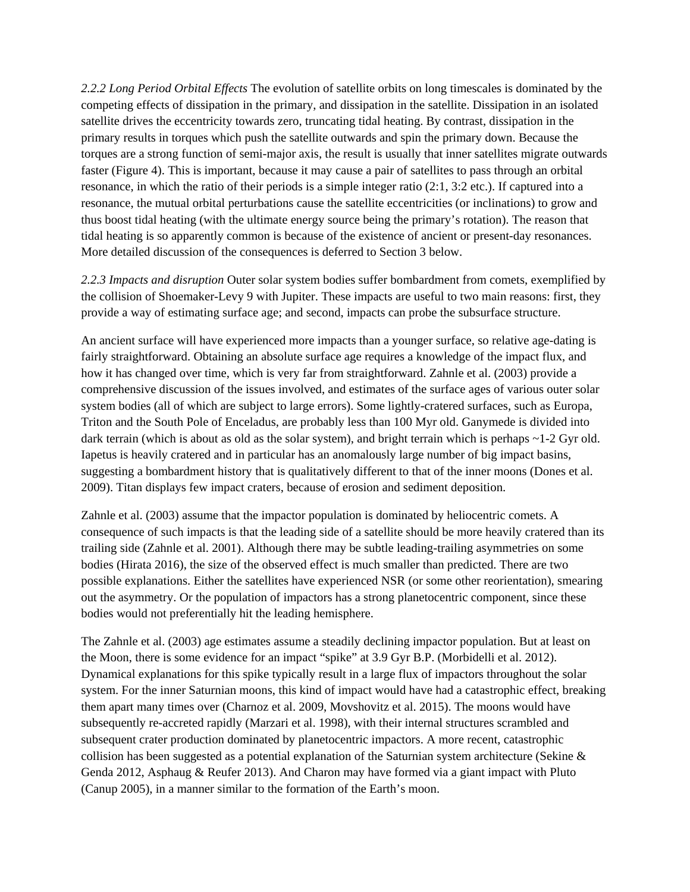*2.2.2 Long Period Orbital Effects* The evolution of satellite orbits on long timescales is dominated by the competing effects of dissipation in the primary, and dissipation in the satellite. Dissipation in an isolated satellite drives the eccentricity towards zero, truncating tidal heating. By contrast, dissipation in the primary results in torques which push the satellite outwards and spin the primary down. Because the torques are a strong function of semi-major axis, the result is usually that inner satellites migrate outwards faster (Figure 4). This is important, because it may cause a pair of satellites to pass through an orbital resonance, in which the ratio of their periods is a simple integer ratio (2:1, 3:2 etc.). If captured into a resonance, the mutual orbital perturbations cause the satellite eccentricities (or inclinations) to grow and thus boost tidal heating (with the ultimate energy source being the primary's rotation). The reason that tidal heating is so apparently common is because of the existence of ancient or present-day resonances. More detailed discussion of the consequences is deferred to Section 3 below.

*2.2.3 Impacts and disruption* Outer solar system bodies suffer bombardment from comets, exemplified by the collision of Shoemaker-Levy 9 with Jupiter. These impacts are useful to two main reasons: first, they provide a way of estimating surface age; and second, impacts can probe the subsurface structure.

An ancient surface will have experienced more impacts than a younger surface, so relative age-dating is fairly straightforward. Obtaining an absolute surface age requires a knowledge of the impact flux, and how it has changed over time, which is very far from straightforward. Zahnle et al. (2003) provide a comprehensive discussion of the issues involved, and estimates of the surface ages of various outer solar system bodies (all of which are subject to large errors). Some lightly-cratered surfaces, such as Europa, Triton and the South Pole of Enceladus, are probably less than 100 Myr old. Ganymede is divided into dark terrain (which is about as old as the solar system), and bright terrain which is perhaps  $\sim$ 1-2 Gyr old. Iapetus is heavily cratered and in particular has an anomalously large number of big impact basins, suggesting a bombardment history that is qualitatively different to that of the inner moons (Dones et al. 2009). Titan displays few impact craters, because of erosion and sediment deposition.

Zahnle et al. (2003) assume that the impactor population is dominated by heliocentric comets. A consequence of such impacts is that the leading side of a satellite should be more heavily cratered than its trailing side (Zahnle et al. 2001). Although there may be subtle leading-trailing asymmetries on some bodies (Hirata 2016), the size of the observed effect is much smaller than predicted. There are two possible explanations. Either the satellites have experienced NSR (or some other reorientation), smearing out the asymmetry. Or the population of impactors has a strong planetocentric component, since these bodies would not preferentially hit the leading hemisphere.

The Zahnle et al. (2003) age estimates assume a steadily declining impactor population. But at least on the Moon, there is some evidence for an impact "spike" at 3.9 Gyr B.P. (Morbidelli et al. 2012). Dynamical explanations for this spike typically result in a large flux of impactors throughout the solar system. For the inner Saturnian moons, this kind of impact would have had a catastrophic effect, breaking them apart many times over (Charnoz et al. 2009, Movshovitz et al. 2015). The moons would have subsequently re-accreted rapidly (Marzari et al. 1998), with their internal structures scrambled and subsequent crater production dominated by planetocentric impactors. A more recent, catastrophic collision has been suggested as a potential explanation of the Saturnian system architecture (Sekine & Genda 2012, Asphaug & Reufer 2013). And Charon may have formed via a giant impact with Pluto (Canup 2005), in a manner similar to the formation of the Earth's moon.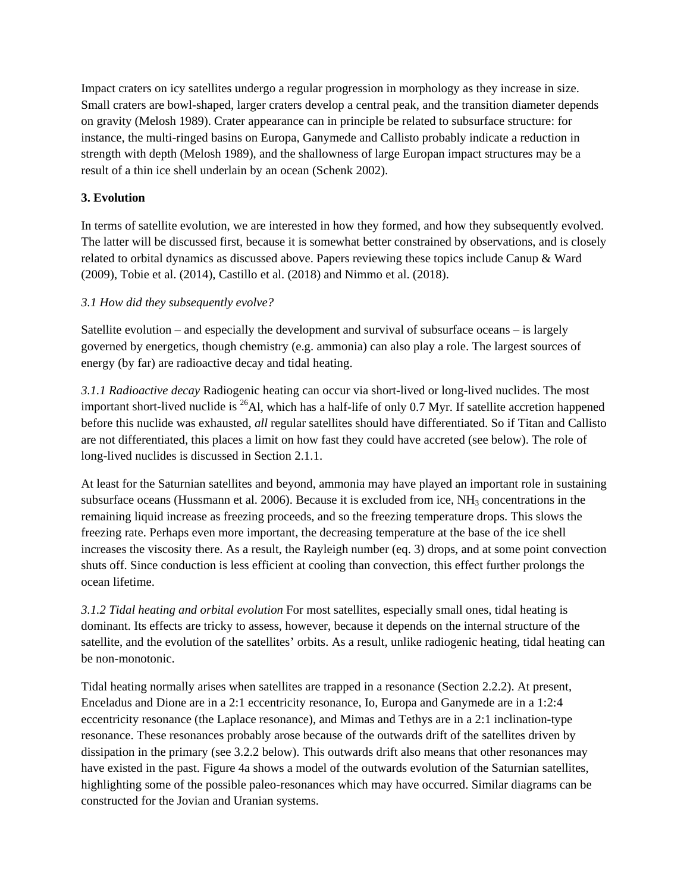Impact craters on icy satellites undergo a regular progression in morphology as they increase in size. Small craters are bowl-shaped, larger craters develop a central peak, and the transition diameter depends on gravity (Melosh 1989). Crater appearance can in principle be related to subsurface structure: for instance, the multi-ringed basins on Europa, Ganymede and Callisto probably indicate a reduction in strength with depth (Melosh 1989), and the shallowness of large Europan impact structures may be a result of a thin ice shell underlain by an ocean (Schenk 2002).

# **3. Evolution**

In terms of satellite evolution, we are interested in how they formed, and how they subsequently evolved. The latter will be discussed first, because it is somewhat better constrained by observations, and is closely related to orbital dynamics as discussed above. Papers reviewing these topics include Canup & Ward (2009), Tobie et al. (2014), Castillo et al. (2018) and Nimmo et al. (2018).

# *3.1 How did they subsequently evolve?*

Satellite evolution – and especially the development and survival of subsurface oceans – is largely governed by energetics, though chemistry (e.g. ammonia) can also play a role. The largest sources of energy (by far) are radioactive decay and tidal heating.

*3.1.1 Radioactive decay* Radiogenic heating can occur via short-lived or long-lived nuclides. The most important short-lived nuclide is  $^{26}$ Al, which has a half-life of only 0.7 Myr. If satellite accretion happened before this nuclide was exhausted, *all* regular satellites should have differentiated. So if Titan and Callisto are not differentiated, this places a limit on how fast they could have accreted (see below). The role of long-lived nuclides is discussed in Section 2.1.1.

At least for the Saturnian satellites and beyond, ammonia may have played an important role in sustaining subsurface oceans (Hussmann et al. 2006). Because it is excluded from ice,  $NH<sub>3</sub>$  concentrations in the remaining liquid increase as freezing proceeds, and so the freezing temperature drops. This slows the freezing rate. Perhaps even more important, the decreasing temperature at the base of the ice shell increases the viscosity there. As a result, the Rayleigh number (eq. 3) drops, and at some point convection shuts off. Since conduction is less efficient at cooling than convection, this effect further prolongs the ocean lifetime.

*3.1.2 Tidal heating and orbital evolution* For most satellites, especially small ones, tidal heating is dominant. Its effects are tricky to assess, however, because it depends on the internal structure of the satellite, and the evolution of the satellites' orbits. As a result, unlike radiogenic heating, tidal heating can be non-monotonic.

Tidal heating normally arises when satellites are trapped in a resonance (Section 2.2.2). At present, Enceladus and Dione are in a 2:1 eccentricity resonance, Io, Europa and Ganymede are in a 1:2:4 eccentricity resonance (the Laplace resonance), and Mimas and Tethys are in a 2:1 inclination-type resonance. These resonances probably arose because of the outwards drift of the satellites driven by dissipation in the primary (see 3.2.2 below). This outwards drift also means that other resonances may have existed in the past. Figure 4a shows a model of the outwards evolution of the Saturnian satellites, highlighting some of the possible paleo-resonances which may have occurred. Similar diagrams can be constructed for the Jovian and Uranian systems.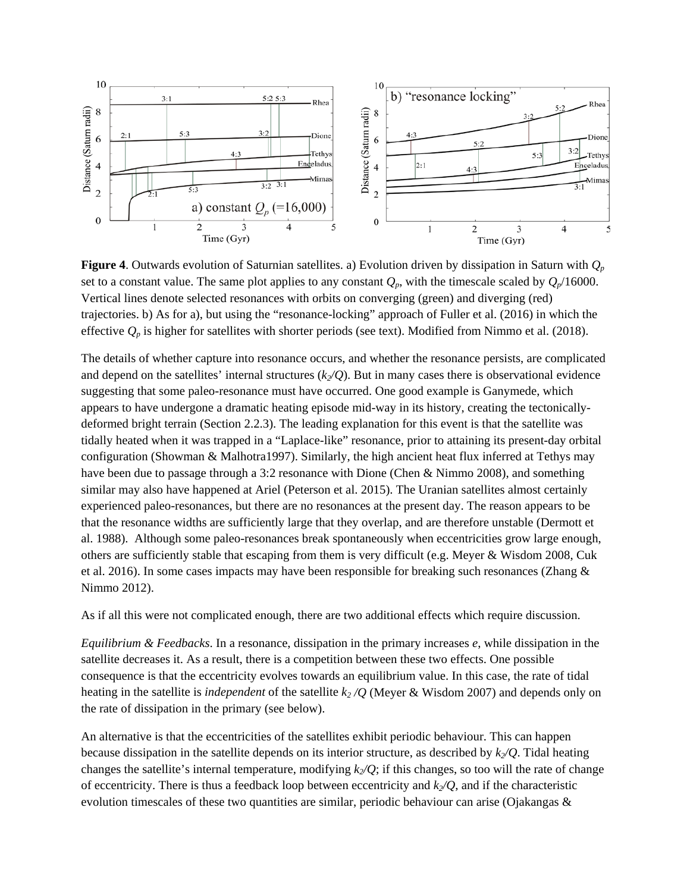

**Figure 4**. Outwards evolution of Saturnian satellites. a) Evolution driven by dissipation in Saturn with *Qp* set to a constant value. The same plot applies to any constant  $Q_p$ , with the timescale scaled by  $Q_p/16000$ . Vertical lines denote selected resonances with orbits on converging (green) and diverging (red) trajectories. b) As for a), but using the "resonance-locking" approach of Fuller et al. (2016) in which the effective  $Q_p$  is higher for satellites with shorter periods (see text). Modified from Nimmo et al. (2018).

The details of whether capture into resonance occurs, and whether the resonance persists, are complicated and depend on the satellites' internal structures  $(k_2/Q)$ . But in many cases there is observational evidence suggesting that some paleo-resonance must have occurred. One good example is Ganymede, which appears to have undergone a dramatic heating episode mid-way in its history, creating the tectonicallydeformed bright terrain (Section 2.2.3). The leading explanation for this event is that the satellite was tidally heated when it was trapped in a "Laplace-like" resonance, prior to attaining its present-day orbital configuration (Showman & Malhotra1997). Similarly, the high ancient heat flux inferred at Tethys may have been due to passage through a 3:2 resonance with Dione (Chen & Nimmo 2008), and something similar may also have happened at Ariel (Peterson et al. 2015). The Uranian satellites almost certainly experienced paleo-resonances, but there are no resonances at the present day. The reason appears to be that the resonance widths are sufficiently large that they overlap, and are therefore unstable (Dermott et al. 1988). Although some paleo-resonances break spontaneously when eccentricities grow large enough, others are sufficiently stable that escaping from them is very difficult (e.g. Meyer & Wisdom 2008, Cuk et al. 2016). In some cases impacts may have been responsible for breaking such resonances (Zhang & Nimmo 2012).

As if all this were not complicated enough, there are two additional effects which require discussion.

*Equilibrium & Feedbacks*. In a resonance, dissipation in the primary increases *e*, while dissipation in the satellite decreases it. As a result, there is a competition between these two effects. One possible consequence is that the eccentricity evolves towards an equilibrium value. In this case, the rate of tidal heating in the satellite is *independent* of the satellite  $k_2/Q$  (Meyer & Wisdom 2007) and depends only on the rate of dissipation in the primary (see below).

An alternative is that the eccentricities of the satellites exhibit periodic behaviour. This can happen because dissipation in the satellite depends on its interior structure, as described by  $k_2/Q$ . Tidal heating changes the satellite's internal temperature, modifying  $k/Q$ ; if this changes, so too will the rate of change of eccentricity. There is thus a feedback loop between eccentricity and  $k_2/Q$ , and if the characteristic evolution timescales of these two quantities are similar, periodic behaviour can arise (Ojakangas &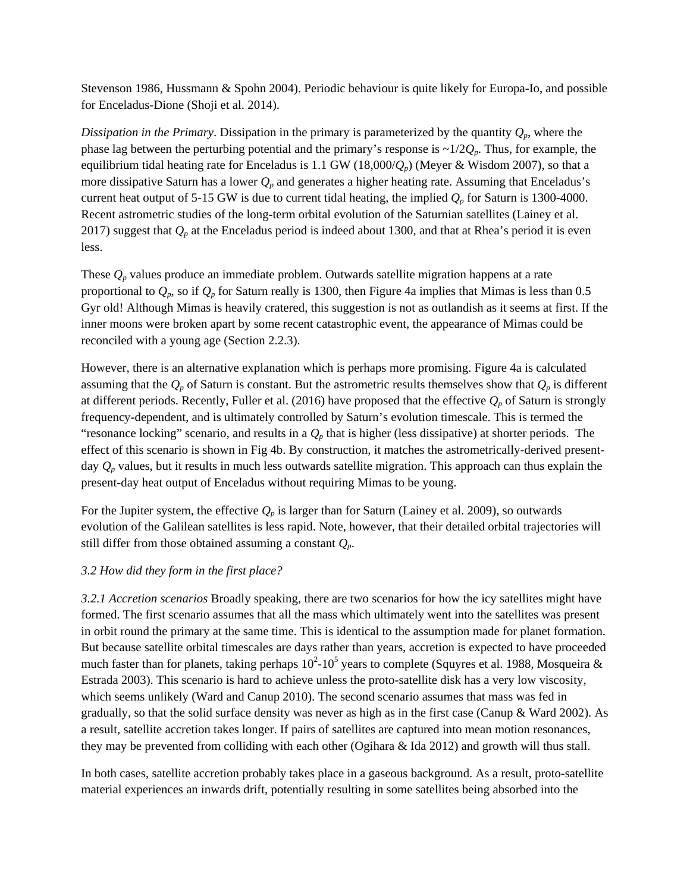Stevenson 1986, Hussmann & Spohn 2004). Periodic behaviour is quite likely for Europa-Io, and possible for Enceladus-Dione (Shoji et al. 2014).

*Dissipation in the Primary*. Dissipation in the primary is parameterized by the quantity  $Q_p$ , where the phase lag between the perturbing potential and the primary's response is ~1/2*Qp*. Thus, for example, the equilibrium tidal heating rate for Enceladus is 1.1 GW (18,000/ $Q_p$ ) (Meyer & Wisdom 2007), so that a more dissipative Saturn has a lower  $Q_p$  and generates a higher heating rate. Assuming that Enceladus's current heat output of 5-15 GW is due to current tidal heating, the implied  $Q_p$  for Saturn is 1300-4000. Recent astrometric studies of the long-term orbital evolution of the Saturnian satellites (Lainey et al. 2017) suggest that  $Q_p$  at the Enceladus period is indeed about 1300, and that at Rhea's period it is even less.

These  $Q_p$  values produce an immediate problem. Outwards satellite migration happens at a rate proportional to *Qp*, so if *Qp* for Saturn really is 1300, then Figure 4a implies that Mimas is less than 0.5 Gyr old! Although Mimas is heavily cratered, this suggestion is not as outlandish as it seems at first. If the inner moons were broken apart by some recent catastrophic event, the appearance of Mimas could be reconciled with a young age (Section 2.2.3).

However, there is an alternative explanation which is perhaps more promising. Figure 4a is calculated assuming that the  $Q_p$  of Saturn is constant. But the astrometric results themselves show that  $Q_p$  is different at different periods. Recently, Fuller et al. (2016) have proposed that the effective  $Q_p$  of Saturn is strongly frequency-dependent, and is ultimately controlled by Saturn's evolution timescale. This is termed the "resonance locking" scenario, and results in a  $Q_p$  that is higher (less dissipative) at shorter periods. The effect of this scenario is shown in Fig 4b. By construction, it matches the astrometrically-derived presentday *Qp* values, but it results in much less outwards satellite migration. This approach can thus explain the present-day heat output of Enceladus without requiring Mimas to be young.

For the Jupiter system, the effective  $Q_p$  is larger than for Saturn (Lainey et al. 2009), so outwards evolution of the Galilean satellites is less rapid. Note, however, that their detailed orbital trajectories will still differ from those obtained assuming a constant *Qp*.

#### *3.2 How did they form in the first place?*

*3.2.1 Accretion scenarios* Broadly speaking, there are two scenarios for how the icy satellites might have formed. The first scenario assumes that all the mass which ultimately went into the satellites was present in orbit round the primary at the same time. This is identical to the assumption made for planet formation. But because satellite orbital timescales are days rather than years, accretion is expected to have proceeded much faster than for planets, taking perhaps  $10^2$ -10<sup>5</sup> years to complete (Squyres et al. 1988, Mosqueira & Estrada 2003). This scenario is hard to achieve unless the proto-satellite disk has a very low viscosity, which seems unlikely (Ward and Canup 2010). The second scenario assumes that mass was fed in gradually, so that the solid surface density was never as high as in the first case (Canup & Ward 2002). As a result, satellite accretion takes longer. If pairs of satellites are captured into mean motion resonances, they may be prevented from colliding with each other (Ogihara & Ida 2012) and growth will thus stall.

In both cases, satellite accretion probably takes place in a gaseous background. As a result, proto-satellite material experiences an inwards drift, potentially resulting in some satellites being absorbed into the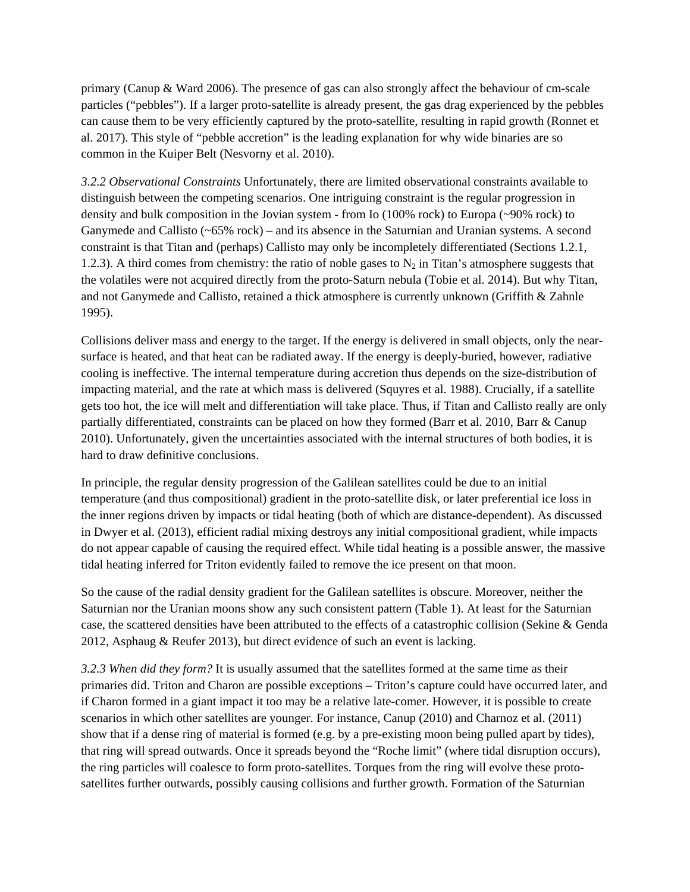primary (Canup & Ward 2006). The presence of gas can also strongly affect the behaviour of cm-scale particles ("pebbles"). If a larger proto-satellite is already present, the gas drag experienced by the pebbles can cause them to be very efficiently captured by the proto-satellite, resulting in rapid growth (Ronnet et al. 2017). This style of "pebble accretion" is the leading explanation for why wide binaries are so common in the Kuiper Belt (Nesvorny et al. 2010).

*3.2.2 Observational Constraints* Unfortunately, there are limited observational constraints available to distinguish between the competing scenarios. One intriguing constraint is the regular progression in density and bulk composition in the Jovian system - from Io (100% rock) to Europa (~90% rock) to Ganymede and Callisto (~65% rock) – and its absence in the Saturnian and Uranian systems. A second constraint is that Titan and (perhaps) Callisto may only be incompletely differentiated (Sections 1.2.1, 1.2.3). A third comes from chemistry: the ratio of noble gases to  $N_2$  in Titan's atmosphere suggests that the volatiles were not acquired directly from the proto-Saturn nebula (Tobie et al. 2014). But why Titan, and not Ganymede and Callisto, retained a thick atmosphere is currently unknown (Griffith & Zahnle 1995).

Collisions deliver mass and energy to the target. If the energy is delivered in small objects, only the nearsurface is heated, and that heat can be radiated away. If the energy is deeply-buried, however, radiative cooling is ineffective. The internal temperature during accretion thus depends on the size-distribution of impacting material, and the rate at which mass is delivered (Squyres et al. 1988). Crucially, if a satellite gets too hot, the ice will melt and differentiation will take place. Thus, if Titan and Callisto really are only partially differentiated, constraints can be placed on how they formed (Barr et al. 2010, Barr & Canup 2010). Unfortunately, given the uncertainties associated with the internal structures of both bodies, it is hard to draw definitive conclusions.

In principle, the regular density progression of the Galilean satellites could be due to an initial temperature (and thus compositional) gradient in the proto-satellite disk, or later preferential ice loss in the inner regions driven by impacts or tidal heating (both of which are distance-dependent). As discussed in Dwyer et al. (2013), efficient radial mixing destroys any initial compositional gradient, while impacts do not appear capable of causing the required effect. While tidal heating is a possible answer, the massive tidal heating inferred for Triton evidently failed to remove the ice present on that moon.

So the cause of the radial density gradient for the Galilean satellites is obscure. Moreover, neither the Saturnian nor the Uranian moons show any such consistent pattern (Table 1). At least for the Saturnian case, the scattered densities have been attributed to the effects of a catastrophic collision (Sekine & Genda 2012, Asphaug & Reufer 2013), but direct evidence of such an event is lacking.

*3.2.3 When did they form?* It is usually assumed that the satellites formed at the same time as their primaries did. Triton and Charon are possible exceptions – Triton's capture could have occurred later, and if Charon formed in a giant impact it too may be a relative late-comer. However, it is possible to create scenarios in which other satellites are younger. For instance, Canup (2010) and Charnoz et al. (2011) show that if a dense ring of material is formed (e.g. by a pre-existing moon being pulled apart by tides), that ring will spread outwards. Once it spreads beyond the "Roche limit" (where tidal disruption occurs), the ring particles will coalesce to form proto-satellites. Torques from the ring will evolve these protosatellites further outwards, possibly causing collisions and further growth. Formation of the Saturnian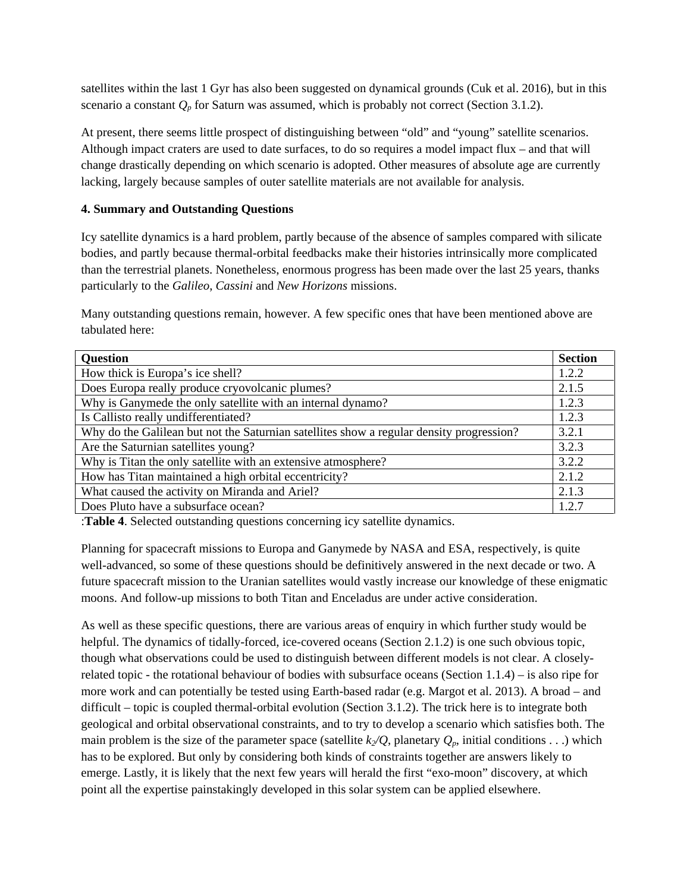satellites within the last 1 Gyr has also been suggested on dynamical grounds (Cuk et al. 2016), but in this scenario a constant  $Q_p$  for Saturn was assumed, which is probably not correct (Section 3.1.2).

At present, there seems little prospect of distinguishing between "old" and "young" satellite scenarios. Although impact craters are used to date surfaces, to do so requires a model impact flux – and that will change drastically depending on which scenario is adopted. Other measures of absolute age are currently lacking, largely because samples of outer satellite materials are not available for analysis.

## **4. Summary and Outstanding Questions**

Icy satellite dynamics is a hard problem, partly because of the absence of samples compared with silicate bodies, and partly because thermal-orbital feedbacks make their histories intrinsically more complicated than the terrestrial planets. Nonetheless, enormous progress has been made over the last 25 years, thanks particularly to the *Galileo*, *Cassini* and *New Horizons* missions.

Many outstanding questions remain, however. A few specific ones that have been mentioned above are tabulated here:

| <b>Question</b>                                                                          | <b>Section</b> |  |  |  |
|------------------------------------------------------------------------------------------|----------------|--|--|--|
| How thick is Europa's ice shell?                                                         | 1.2.2          |  |  |  |
| Does Europa really produce cryovolcanic plumes?                                          | 2.1.5          |  |  |  |
| Why is Ganymede the only satellite with an internal dynamo?                              | 1.2.3          |  |  |  |
| Is Callisto really undifferentiated?                                                     | 1.2.3          |  |  |  |
| Why do the Galilean but not the Saturnian satellites show a regular density progression? | 3.2.1          |  |  |  |
| Are the Saturnian satellites young?                                                      | 3.2.3          |  |  |  |
| Why is Titan the only satellite with an extensive atmosphere?                            | 3.2.2          |  |  |  |
| How has Titan maintained a high orbital eccentricity?                                    | 2.1.2          |  |  |  |
| What caused the activity on Miranda and Ariel?                                           |                |  |  |  |
| Does Pluto have a subsurface ocean?                                                      |                |  |  |  |

:**Table 4**. Selected outstanding questions concerning icy satellite dynamics.

Planning for spacecraft missions to Europa and Ganymede by NASA and ESA, respectively, is quite well-advanced, so some of these questions should be definitively answered in the next decade or two. A future spacecraft mission to the Uranian satellites would vastly increase our knowledge of these enigmatic moons. And follow-up missions to both Titan and Enceladus are under active consideration.

As well as these specific questions, there are various areas of enquiry in which further study would be helpful. The dynamics of tidally-forced, ice-covered oceans (Section 2.1.2) is one such obvious topic, though what observations could be used to distinguish between different models is not clear. A closelyrelated topic - the rotational behaviour of bodies with subsurface oceans (Section 1.1.4) – is also ripe for more work and can potentially be tested using Earth-based radar (e.g. Margot et al. 2013). A broad – and difficult – topic is coupled thermal-orbital evolution (Section 3.1.2). The trick here is to integrate both geological and orbital observational constraints, and to try to develop a scenario which satisfies both. The main problem is the size of the parameter space (satellite  $k_2/Q$ , planetary  $Q_p$ , initial conditions . . .) which has to be explored. But only by considering both kinds of constraints together are answers likely to emerge. Lastly, it is likely that the next few years will herald the first "exo-moon" discovery, at which point all the expertise painstakingly developed in this solar system can be applied elsewhere.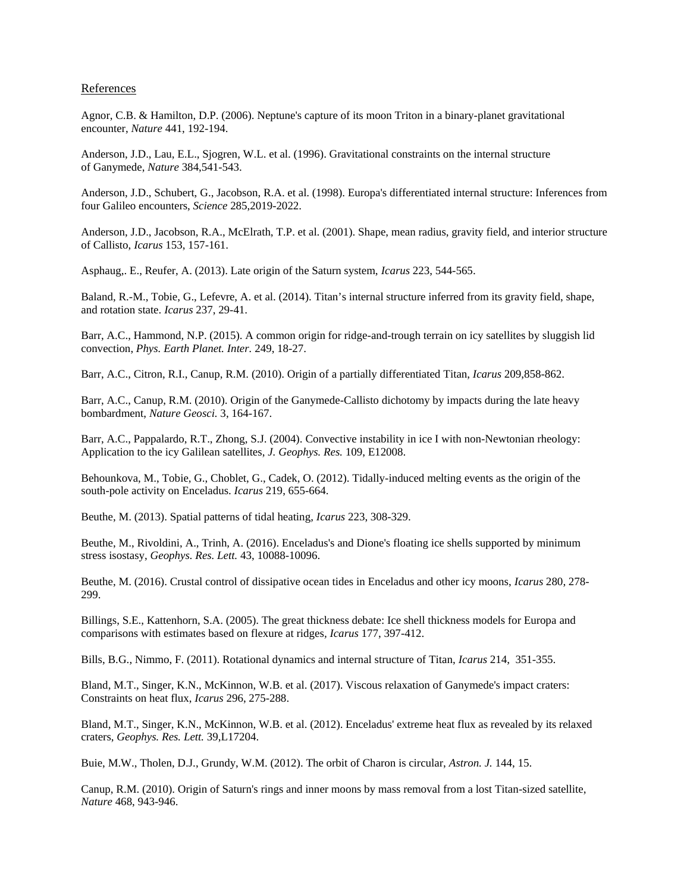#### References

Agnor, C.B. & Hamilton, D.P. (2006). Neptune's capture of its moon Triton in a binary-planet gravitational encounter, *Nature* 441, 192-194.

Anderson, J.D., Lau, E.L., Sjogren, W.L. et al. (1996). Gravitational constraints on the internal structure of Ganymede, *Nature* 384,541-543.

Anderson, J.D., Schubert, G., Jacobson, R.A. et al. (1998). Europa's differentiated internal structure: Inferences from four Galileo encounters, *Science* 285,2019-2022.

Anderson, J.D., Jacobson, R.A., McElrath, T.P. et al. (2001). Shape, mean radius, gravity field, and interior structure of Callisto, *Icarus* 153, 157-161.

Asphaug,. E., Reufer, A. (2013). Late origin of the Saturn system, *Icarus* 223, 544-565.

Baland, R.-M., Tobie, G., Lefevre, A. et al. (2014). Titan's internal structure inferred from its gravity field, shape, and rotation state. *Icarus* 237, 29-41.

Barr, A.C., Hammond, N.P. (2015). A common origin for ridge-and-trough terrain on icy satellites by sluggish lid convection, *Phys. Earth Planet. Inter.* 249, 18-27.

Barr, A.C., Citron, R.I., Canup, R.M. (2010). Origin of a partially differentiated Titan, *Icarus* 209,858-862.

Barr, A.C., Canup, R.M. (2010). Origin of the Ganymede-Callisto dichotomy by impacts during the late heavy bombardment, *Nature Geosci.* 3, 164-167.

Barr, A.C., Pappalardo, R.T., Zhong, S.J. (2004). Convective instability in ice I with non-Newtonian rheology: Application to the icy Galilean satellites, *J. Geophys. Res.* 109, E12008.

Behounkova, M., Tobie, G., Choblet, G., Cadek, O. (2012). Tidally-induced melting events as the origin of the south-pole activity on Enceladus. *Icarus* 219, 655-664.

Beuthe, M. (2013). Spatial patterns of tidal heating, *Icarus* 223, 308-329.

Beuthe, M., Rivoldini, A., Trinh, A. (2016). Enceladus's and Dione's floating ice shells supported by minimum stress isostasy, *Geophys. Res. Lett.* 43, 10088-10096.

Beuthe, M. (2016). Crustal control of dissipative ocean tides in Enceladus and other icy moons, *Icarus* 280, 278- 299.

Billings, S.E., Kattenhorn, S.A. (2005). The great thickness debate: Ice shell thickness models for Europa and comparisons with estimates based on flexure at ridges*, Icarus* 177, 397-412.

Bills, B.G., Nimmo, F. (2011). Rotational dynamics and internal structure of Titan, *Icarus* 214, 351-355.

Bland, M.T., Singer, K.N., McKinnon, W.B. et al. (2017). Viscous relaxation of Ganymede's impact craters: Constraints on heat flux, *Icarus* 296, 275-288.

Bland, M.T., Singer, K.N., McKinnon, W.B. et al. (2012). Enceladus' extreme heat flux as revealed by its relaxed craters, *Geophys. Res. Lett.* 39,L17204.

Buie, M.W., Tholen, D.J., Grundy, W.M. (2012). The orbit of Charon is circular, *Astron. J.* 144, 15.

Canup, R.M. (2010). Origin of Saturn's rings and inner moons by mass removal from a lost Titan-sized satellite, *Nature* 468, 943-946.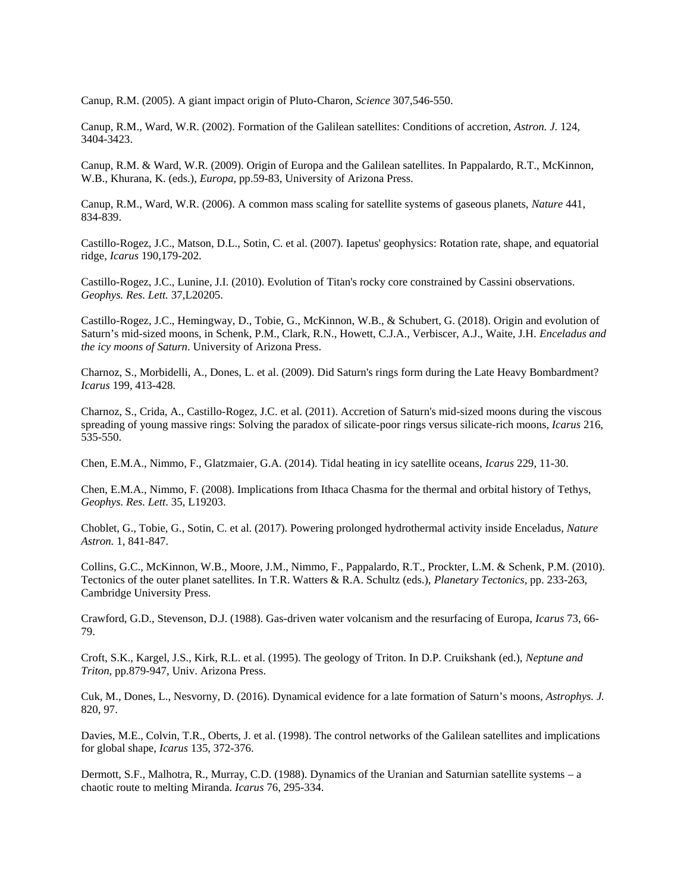Canup, R.M. (2005). A giant impact origin of Pluto-Charon, *Science* 307,546-550.

Canup, R.M., Ward, W.R. (2002). Formation of the Galilean satellites: Conditions of accretion, *Astron. J.* 124, 3404-3423.

Canup, R.M. & Ward, W.R. (2009). Origin of Europa and the Galilean satellites. In Pappalardo, R.T., McKinnon, W.B., Khurana, K. (eds.), *Europa*, pp.59-83, University of Arizona Press.

Canup, R.M., Ward, W.R. (2006). A common mass scaling for satellite systems of gaseous planets, *Nature* 441, 834-839.

Castillo-Rogez, J.C., Matson, D.L., Sotin, C. et al. (2007). Iapetus' geophysics: Rotation rate, shape, and equatorial ridge, *Icarus* 190,179-202.

Castillo-Rogez, J.C., Lunine, J.I. (2010). Evolution of Titan's rocky core constrained by Cassini observations. *Geophys. Res. Lett.* 37,L20205.

Castillo-Rogez, J.C., Hemingway, D., Tobie, G., McKinnon, W.B., & Schubert, G. (2018). Origin and evolution of Saturn's mid-sized moons, in Schenk, P.M., Clark, R.N., Howett, C.J.A., Verbiscer, A.J., Waite, J.H. *Enceladus and the icy moons of Saturn*. University of Arizona Press.

Charnoz, S., Morbidelli, A., Dones, L. et al. (2009). Did Saturn's rings form during the Late Heavy Bombardment? *Icarus* 199, 413-428.

Charnoz, S., Crida, A., Castillo-Rogez, J.C. et al. (2011). Accretion of Saturn's mid-sized moons during the viscous spreading of young massive rings: Solving the paradox of silicate-poor rings versus silicate-rich moons, *Icarus* 216, 535-550.

Chen, E.M.A., Nimmo, F., Glatzmaier, G.A. (2014). Tidal heating in icy satellite oceans, *Icarus* 229, 11-30.

Chen, E.M.A., Nimmo, F. (2008). Implications from Ithaca Chasma for the thermal and orbital history of Tethys, *Geophys. Res. Lett*. 35, L19203.

Choblet, G., Tobie, G., Sotin, C. et al. (2017). Powering prolonged hydrothermal activity inside Enceladus, *Nature Astron.* 1, 841-847.

Collins, G.C., McKinnon, W.B., Moore, J.M., Nimmo, F., Pappalardo, R.T., Prockter, L.M. & Schenk, P.M. (2010). Tectonics of the outer planet satellites. In T.R. Watters & R.A. Schultz (eds.), *Planetary Tectonics*, pp. 233-263, Cambridge University Press.

Crawford, G.D., Stevenson, D.J. (1988). Gas-driven water volcanism and the resurfacing of Europa, *Icarus* 73, 66- 79.

Croft, S.K., Kargel, J.S., Kirk, R.L. et al. (1995). The geology of Triton. In D.P. Cruikshank (ed.), *Neptune and Triton*, pp.879-947, Univ. Arizona Press.

Cuk, M., Dones, L., Nesvorny, D. (2016). Dynamical evidence for a late formation of Saturn's moons, *Astrophys. J.* 820, 97.

Davies, M.E., Colvin, T.R., Oberts, J. et al. (1998). The control networks of the Galilean satellites and implications for global shape, *Icarus* 135, 372-376.

Dermott, S.F., Malhotra, R., Murray, C.D. (1988). Dynamics of the Uranian and Saturnian satellite systems – a chaotic route to melting Miranda. *Icarus* 76, 295-334.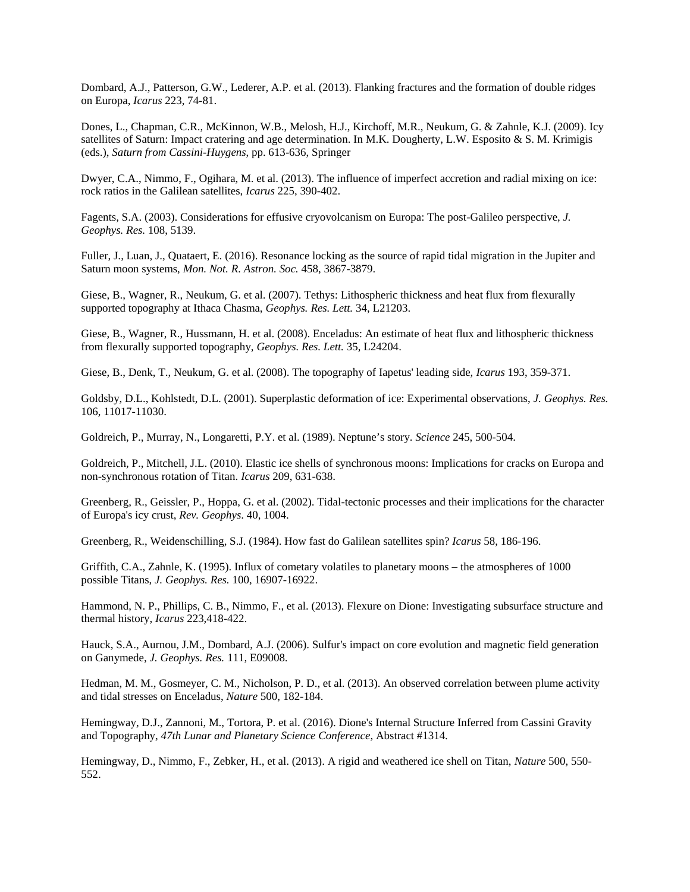Dombard, A.J., Patterson, G.W., Lederer, A.P. et al. (2013). Flanking fractures and the formation of double ridges on Europa, *Icarus* 223, 74-81.

Dones, L., Chapman, C.R., McKinnon, W.B., Melosh, H.J., Kirchoff, M.R., Neukum, G. & Zahnle, K.J. (2009). Icy satellites of Saturn: Impact cratering and age determination. In M.K. Dougherty, L.W. Esposito & S. M. Krimigis (eds.), *Saturn from Cassini-Huygens*, pp. 613-636, Springer

Dwyer, C.A., Nimmo, F., Ogihara, M. et al. (2013). The influence of imperfect accretion and radial mixing on ice: rock ratios in the Galilean satellites, *Icarus* 225, 390-402.

Fagents, S.A. (2003). Considerations for effusive cryovolcanism on Europa: The post-Galileo perspective, *J. Geophys. Res.* 108, 5139.

Fuller, J., Luan, J., Quataert, E. (2016). Resonance locking as the source of rapid tidal migration in the Jupiter and Saturn moon systems, *Mon. Not. R. Astron. Soc.* 458, 3867-3879.

Giese, B., Wagner, R., Neukum, G. et al. (2007). Tethys: Lithospheric thickness and heat flux from flexurally supported topography at Ithaca Chasma, *Geophys. Res. Lett.* 34, L21203.

Giese, B., Wagner, R., Hussmann, H. et al. (2008). Enceladus: An estimate of heat flux and lithospheric thickness from flexurally supported topography, *Geophys. Res. Lett.* 35, L24204.

Giese, B., Denk, T., Neukum, G. et al. (2008). The topography of Iapetus' leading side, *Icarus* 193, 359-371.

Goldsby, D.L., Kohlstedt, D.L. (2001). Superplastic deformation of ice: Experimental observations, *J. Geophys. Res.* 106, 11017-11030.

Goldreich, P., Murray, N., Longaretti, P.Y. et al. (1989). Neptune's story. *Science* 245, 500-504.

Goldreich, P., Mitchell, J.L. (2010). Elastic ice shells of synchronous moons: Implications for cracks on Europa and non-synchronous rotation of Titan. *Icarus* 209, 631-638.

Greenberg, R., Geissler, P., Hoppa, G. et al. (2002). Tidal-tectonic processes and their implications for the character of Europa's icy crust, *Rev. Geophys*. 40, 1004.

Greenberg, R., Weidenschilling, S.J. (1984). How fast do Galilean satellites spin? *Icarus* 58, 186-196.

Griffith, C.A., Zahnle, K. (1995). Influx of cometary volatiles to planetary moons – the atmospheres of 1000 possible Titans, *J. Geophys. Res.* 100, 16907-16922.

Hammond, N. P., Phillips, C. B., Nimmo, F., et al. (2013). Flexure on Dione: Investigating subsurface structure and thermal history, *Icarus* 223,418-422.

Hauck, S.A., Aurnou, J.M., Dombard, A.J. (2006). Sulfur's impact on core evolution and magnetic field generation on Ganymede, *J. Geophys. Res.* 111, E09008.

Hedman, M. M., Gosmeyer, C. M., Nicholson, P. D., et al. (2013). An observed correlation between plume activity and tidal stresses on Enceladus, *Nature* 500, 182-184.

Hemingway, D.J., Zannoni, M., Tortora, P. et al. (2016). Dione's Internal Structure Inferred from Cassini Gravity and Topography, *47th Lunar and Planetary Science Conference*, Abstract #1314.

Hemingway, D., Nimmo, F., Zebker, H., et al. (2013). A rigid and weathered ice shell on Titan, *Nature* 500, 550- 552.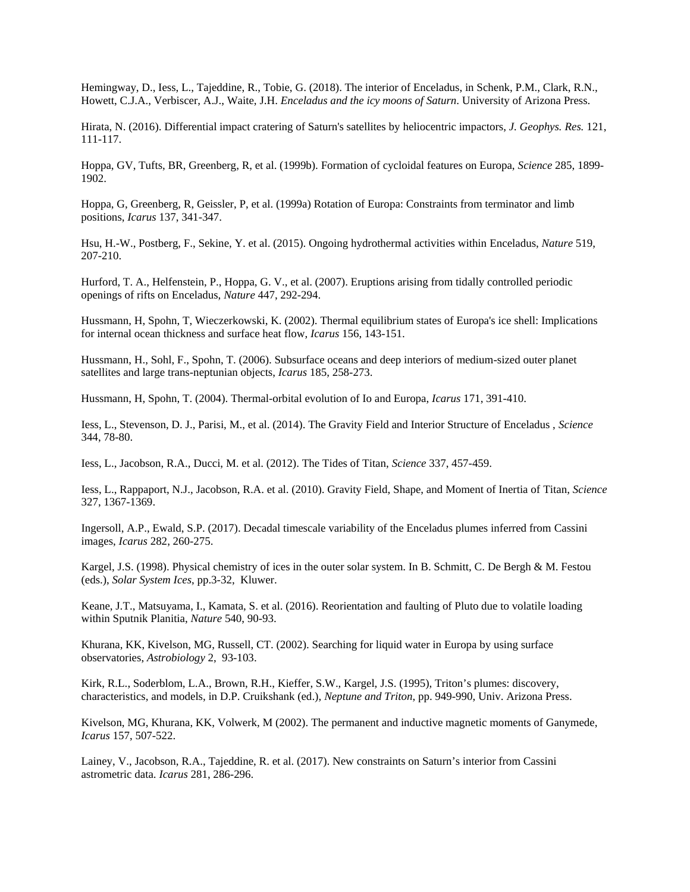Hemingway, D., Iess, L., Tajeddine, R., Tobie, G. (2018). The interior of Enceladus, in Schenk, P.M., Clark, R.N., Howett, C.J.A., Verbiscer, A.J., Waite, J.H. *Enceladus and the icy moons of Saturn*. University of Arizona Press.

Hirata, N. (2016). Differential impact cratering of Saturn's satellites by heliocentric impactors, *J. Geophys. Res.* 121, 111-117.

Hoppa, GV, Tufts, BR, Greenberg, R, et al. (1999b). Formation of cycloidal features on Europa, *Science* 285, 1899- 1902.

Hoppa, G, Greenberg, R, Geissler, P, et al. (1999a) Rotation of Europa: Constraints from terminator and limb positions, *Icarus* 137, 341-347.

Hsu, H.-W., Postberg, F., Sekine, Y. et al. (2015). Ongoing hydrothermal activities within Enceladus, *Nature* 519, 207-210.

Hurford, T. A., Helfenstein, P., Hoppa, G. V., et al. (2007). Eruptions arising from tidally controlled periodic openings of rifts on Enceladus, *Nature* 447, 292-294.

Hussmann, H, Spohn, T, Wieczerkowski, K. (2002). Thermal equilibrium states of Europa's ice shell: Implications for internal ocean thickness and surface heat flow, *Icarus* 156, 143-151.

Hussmann, H., Sohl, F., Spohn, T. (2006). Subsurface oceans and deep interiors of medium-sized outer planet satellites and large trans-neptunian objects, *Icarus* 185, 258-273.

Hussmann, H, Spohn, T. (2004). Thermal-orbital evolution of Io and Europa, *Icarus* 171, 391-410.

Iess, L., Stevenson, D. J., Parisi, M., et al. (2014). The Gravity Field and Interior Structure of Enceladus , *Science* 344, 78-80.

Iess, L., Jacobson, R.A., Ducci, M. et al. (2012). The Tides of Titan, *Science* 337, 457-459.

Iess, L., Rappaport, N.J., Jacobson, R.A. et al. (2010). Gravity Field, Shape, and Moment of Inertia of Titan, *Science* 327, 1367-1369.

Ingersoll, A.P., Ewald, S.P. (2017). Decadal timescale variability of the Enceladus plumes inferred from Cassini images, *Icarus* 282, 260-275.

Kargel, J.S. (1998). Physical chemistry of ices in the outer solar system. In B. Schmitt, C. De Bergh & M. Festou (eds.), *Solar System Ices*, pp.3-32, Kluwer.

Keane, J.T., Matsuyama, I., Kamata, S. et al. (2016). Reorientation and faulting of Pluto due to volatile loading within Sputnik Planitia, *Nature* 540, 90-93.

Khurana, KK, Kivelson, MG, Russell, CT. (2002). Searching for liquid water in Europa by using surface observatories, *Astrobiology* 2, 93-103.

Kirk, R.L., Soderblom, L.A., Brown, R.H., Kieffer, S.W., Kargel, J.S. (1995), Triton's plumes: discovery, characteristics, and models, in D.P. Cruikshank (ed.), *Neptune and Triton*, pp. 949-990, Univ. Arizona Press.

Kivelson, MG, Khurana, KK, Volwerk, M (2002). The permanent and inductive magnetic moments of Ganymede, *Icarus* 157, 507-522.

Lainey, V., Jacobson, R.A., Tajeddine, R. et al. (2017). New constraints on Saturn's interior from Cassini astrometric data. *Icarus* 281, 286-296.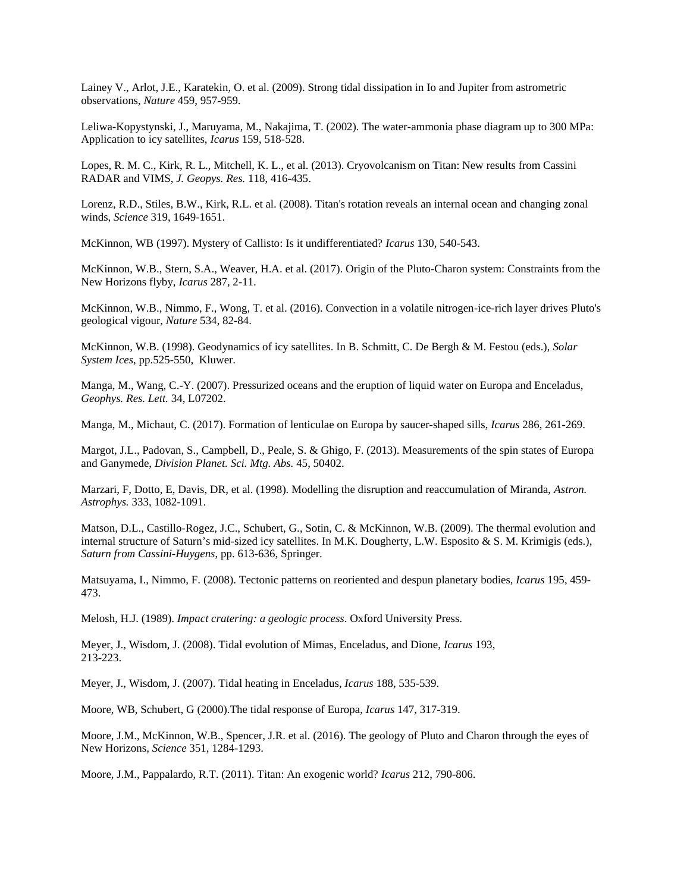Lainey V., Arlot, J.E., Karatekin, O. et al. (2009). Strong tidal dissipation in Io and Jupiter from astrometric observations, *Nature* 459, 957-959.

Leliwa-Kopystynski, J., Maruyama, M., Nakajima, T. (2002). The water-ammonia phase diagram up to 300 MPa: Application to icy satellites, *Icarus* 159, 518-528.

Lopes, R. M. C., Kirk, R. L., Mitchell, K. L., et al. (2013). Cryovolcanism on Titan: New results from Cassini RADAR and VIMS, *J. Geopys. Res.* 118, 416-435.

Lorenz, R.D., Stiles, B.W., Kirk, R.L. et al. (2008). Titan's rotation reveals an internal ocean and changing zonal winds, *Science* 319, 1649-1651.

McKinnon, WB (1997). Mystery of Callisto: Is it undifferentiated? *Icarus* 130, 540-543.

McKinnon, W.B., Stern, S.A., Weaver, H.A. et al. (2017). Origin of the Pluto-Charon system: Constraints from the New Horizons flyby, *Icarus* 287, 2-11.

McKinnon, W.B., Nimmo, F., Wong, T. et al. (2016). Convection in a volatile nitrogen-ice-rich layer drives Pluto's geological vigour, *Nature* 534, 82-84.

McKinnon, W.B. (1998). Geodynamics of icy satellites. In B. Schmitt, C. De Bergh & M. Festou (eds.), *Solar System Ices*, pp.525-550, Kluwer.

Manga, M., Wang, C.-Y. (2007). Pressurized oceans and the eruption of liquid water on Europa and Enceladus, *Geophys. Res. Lett.* 34, L07202.

Manga, M., Michaut, C. (2017). Formation of lenticulae on Europa by saucer-shaped sills, *Icarus* 286, 261-269.

Margot, J.L., Padovan, S., Campbell, D., Peale, S. & Ghigo, F. (2013). Measurements of the spin states of Europa and Ganymede, *Division Planet. Sci. Mtg. Abs.* 45, 50402.

Marzari, F, Dotto, E, Davis, DR, et al. (1998). Modelling the disruption and reaccumulation of Miranda, *Astron. Astrophys.* 333, 1082-1091.

Matson, D.L., Castillo-Rogez, J.C., Schubert, G., Sotin, C. & McKinnon, W.B. (2009). The thermal evolution and internal structure of Saturn's mid-sized icy satellites. In M.K. Dougherty, L.W. Esposito & S. M. Krimigis (eds.), *Saturn from Cassini-Huygens*, pp. 613-636, Springer.

Matsuyama, I., Nimmo, F. (2008). Tectonic patterns on reoriented and despun planetary bodies, *Icarus* 195, 459- 473.

Melosh, H.J. (1989). *Impact cratering: a geologic process*. Oxford University Press.

Meyer, J., Wisdom, J. (2008). Tidal evolution of Mimas, Enceladus, and Dione, *Icarus* 193, 213-223.

Meyer, J., Wisdom, J. (2007). Tidal heating in Enceladus, *Icarus* 188, 535-539.

Moore, WB, Schubert, G (2000).The tidal response of Europa, *Icarus* 147, 317-319.

Moore, J.M., McKinnon, W.B., Spencer, J.R. et al. (2016). The geology of Pluto and Charon through the eyes of New Horizons, *Science* 351, 1284-1293.

Moore, J.M., Pappalardo, R.T. (2011). Titan: An exogenic world? *Icarus* 212, 790-806.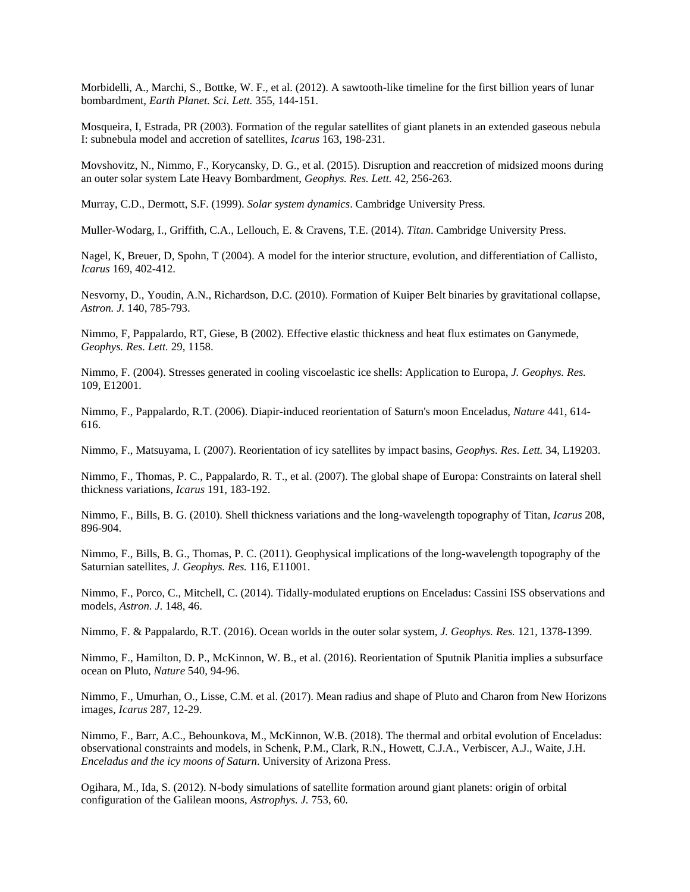Morbidelli, A., Marchi, S., Bottke, W. F., et al. (2012). A sawtooth-like timeline for the first billion years of lunar bombardment, *Earth Planet. Sci. Lett.* 355, 144-151.

Mosqueira, I, Estrada, PR (2003). Formation of the regular satellites of giant planets in an extended gaseous nebula I: subnebula model and accretion of satellites, *Icarus* 163, 198-231.

Movshovitz, N., Nimmo, F., Korycansky, D. G., et al. (2015). Disruption and reaccretion of midsized moons during an outer solar system Late Heavy Bombardment, *Geophys. Res. Lett.* 42, 256-263.

Murray, C.D., Dermott, S.F. (1999). *Solar system dynamics*. Cambridge University Press.

Muller-Wodarg, I., Griffith, C.A., Lellouch, E. & Cravens, T.E. (2014). *Titan*. Cambridge University Press.

Nagel, K, Breuer, D, Spohn, T (2004). A model for the interior structure, evolution, and differentiation of Callisto, *Icarus* 169, 402-412.

Nesvorny, D., Youdin, A.N., Richardson, D.C. (2010). Formation of Kuiper Belt binaries by gravitational collapse, *Astron. J.* 140, 785-793.

Nimmo, F, Pappalardo, RT, Giese, B (2002). Effective elastic thickness and heat flux estimates on Ganymede, *Geophys. Res. Lett.* 29, 1158.

Nimmo, F. (2004). Stresses generated in cooling viscoelastic ice shells: Application to Europa, *J. Geophys. Res.* 109, E12001.

Nimmo, F., Pappalardo, R.T. (2006). Diapir-induced reorientation of Saturn's moon Enceladus, *Nature* 441, 614- 616.

Nimmo, F., Matsuyama, I. (2007). Reorientation of icy satellites by impact basins, *Geophys. Res. Lett.* 34, L19203.

Nimmo, F., Thomas, P. C., Pappalardo, R. T., et al. (2007). The global shape of Europa: Constraints on lateral shell thickness variations, *Icarus* 191, 183-192.

Nimmo, F., Bills, B. G. (2010). Shell thickness variations and the long-wavelength topography of Titan, *Icarus* 208, 896-904.

Nimmo, F., Bills, B. G., Thomas, P. C. (2011). Geophysical implications of the long-wavelength topography of the Saturnian satellites, *J. Geophys. Res.* 116, E11001.

Nimmo, F., Porco, C., Mitchell, C. (2014). Tidally-modulated eruptions on Enceladus: Cassini ISS observations and models, *Astron. J.* 148, 46.

Nimmo, F. & Pappalardo, R.T. (2016). Ocean worlds in the outer solar system, *J. Geophys. Res.* 121, 1378-1399.

Nimmo, F., Hamilton, D. P., McKinnon, W. B., et al. (2016). Reorientation of Sputnik Planitia implies a subsurface ocean on Pluto, *Nature* 540, 94-96.

Nimmo, F., Umurhan, O., Lisse, C.M. et al. (2017). Mean radius and shape of Pluto and Charon from New Horizons images, *Icarus* 287, 12-29.

Nimmo, F., Barr, A.C., Behounkova, M., McKinnon, W.B. (2018). The thermal and orbital evolution of Enceladus: observational constraints and models, in Schenk, P.M., Clark, R.N., Howett, C.J.A., Verbiscer, A.J., Waite, J.H. *Enceladus and the icy moons of Saturn*. University of Arizona Press.

Ogihara, M., Ida, S. (2012). N-body simulations of satellite formation around giant planets: origin of orbital configuration of the Galilean moons, *Astrophys. J.* 753, 60.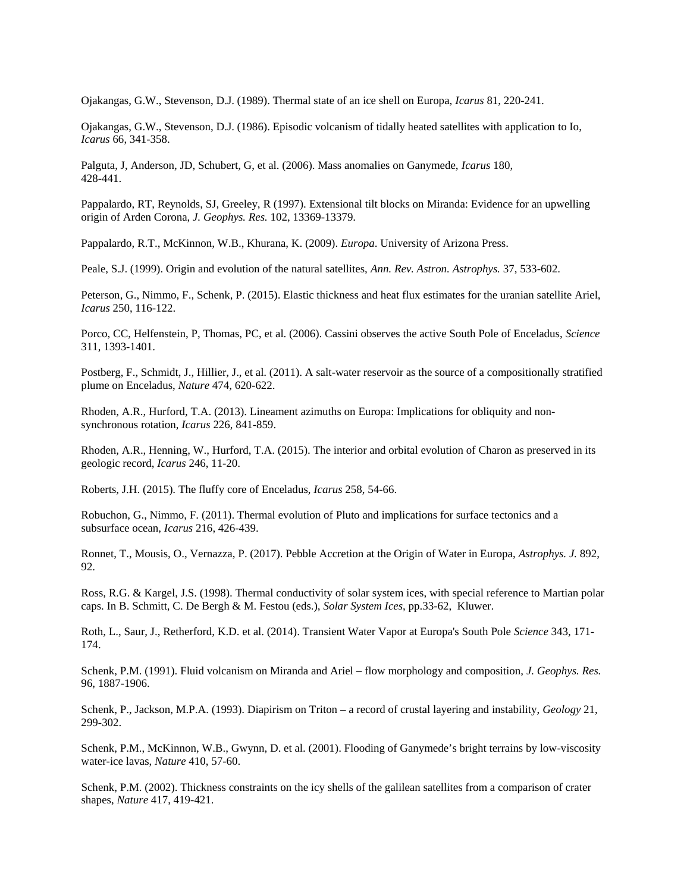Ojakangas, G.W., Stevenson, D.J. (1989). Thermal state of an ice shell on Europa, *Icarus* 81, 220-241.

Ojakangas, G.W., Stevenson, D.J. (1986). Episodic volcanism of tidally heated satellites with application to Io, *Icarus* 66, 341-358.

Palguta, J, Anderson, JD, Schubert, G, et al. (2006). Mass anomalies on Ganymede, *Icarus* 180, 428-441.

Pappalardo, RT, Reynolds, SJ, Greeley, R (1997). Extensional tilt blocks on Miranda: Evidence for an upwelling origin of Arden Corona, *J. Geophys. Res.* 102, 13369-13379.

Pappalardo, R.T., McKinnon, W.B., Khurana, K. (2009). *Europa*. University of Arizona Press.

Peale, S.J. (1999). Origin and evolution of the natural satellites, *Ann. Rev. Astron. Astrophys.* 37, 533-602.

Peterson, G., Nimmo, F., Schenk, P. (2015). Elastic thickness and heat flux estimates for the uranian satellite Ariel, *Icarus* 250, 116-122.

Porco, CC, Helfenstein, P, Thomas, PC, et al. (2006). Cassini observes the active South Pole of Enceladus, *Science* 311, 1393-1401.

Postberg, F., Schmidt, J., Hillier, J., et al. (2011). A salt-water reservoir as the source of a compositionally stratified plume on Enceladus, *Nature* 474, 620-622.

Rhoden, A.R., Hurford, T.A. (2013). Lineament azimuths on Europa: Implications for obliquity and nonsynchronous rotation, *Icarus* 226, 841-859.

Rhoden, A.R., Henning, W., Hurford, T.A. (2015). The interior and orbital evolution of Charon as preserved in its geologic record, *Icarus* 246, 11-20.

Roberts, J.H. (2015). The fluffy core of Enceladus, *Icarus* 258, 54-66.

Robuchon, G., Nimmo, F. (2011). Thermal evolution of Pluto and implications for surface tectonics and a subsurface ocean, *Icarus* 216, 426-439.

Ronnet, T., Mousis, O., Vernazza, P. (2017). Pebble Accretion at the Origin of Water in Europa, *Astrophys. J.* 892, 92.

Ross, R.G. & Kargel, J.S. (1998). Thermal conductivity of solar system ices, with special reference to Martian polar caps. In B. Schmitt, C. De Bergh & M. Festou (eds.), *Solar System Ices*, pp.33-62, Kluwer.

Roth, L., Saur, J., Retherford, K.D. et al. (2014). Transient Water Vapor at Europa's South Pole *Science* 343, 171- 174.

Schenk, P.M. (1991). Fluid volcanism on Miranda and Ariel – flow morphology and composition, *J. Geophys. Res.* 96, 1887-1906.

Schenk, P., Jackson, M.P.A. (1993). Diapirism on Triton – a record of crustal layering and instability, *Geology* 21, 299-302.

Schenk, P.M., McKinnon, W.B., Gwynn, D. et al. (2001). Flooding of Ganymede's bright terrains by low-viscosity water-ice lavas, *Nature* 410, 57-60.

Schenk, P.M. (2002). Thickness constraints on the icy shells of the galilean satellites from a comparison of crater shapes, *Nature* 417, 419-421.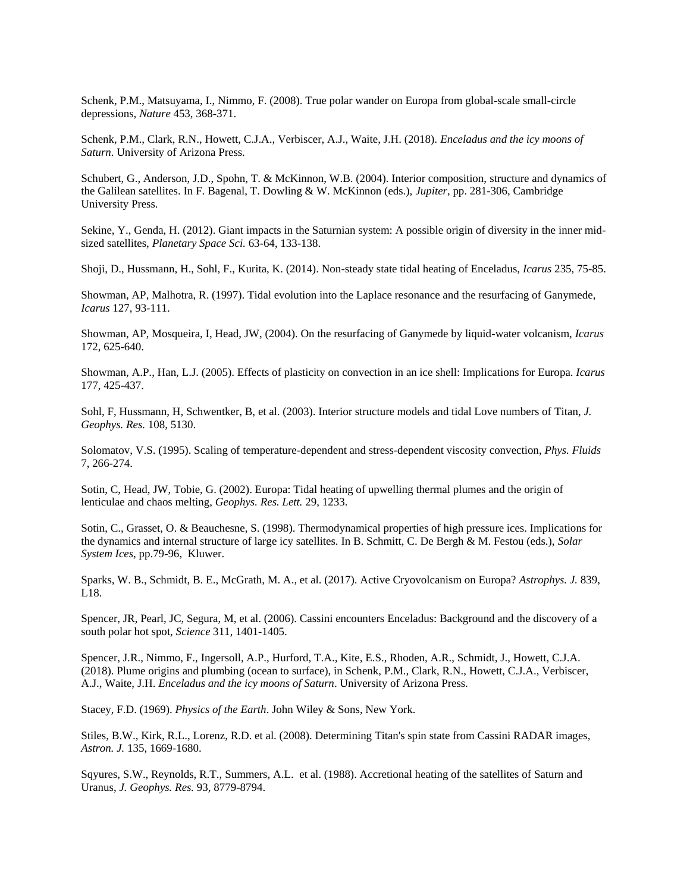Schenk, P.M., Matsuyama, I., Nimmo, F. (2008). True polar wander on Europa from global-scale small-circle depressions, *Nature* 453, 368-371.

Schenk, P.M., Clark, R.N., Howett, C.J.A., Verbiscer, A.J., Waite, J.H. (2018). *Enceladus and the icy moons of Saturn*. University of Arizona Press.

Schubert, G., Anderson, J.D., Spohn, T. & McKinnon, W.B. (2004). Interior composition, structure and dynamics of the Galilean satellites. In F. Bagenal, T. Dowling & W. McKinnon (eds.), *Jupiter*, pp. 281-306, Cambridge University Press.

Sekine, Y., Genda, H. (2012). Giant impacts in the Saturnian system: A possible origin of diversity in the inner midsized satellites, *Planetary Space Sci.* 63-64, 133-138.

Shoji, D., Hussmann, H., Sohl, F., Kurita, K. (2014). Non-steady state tidal heating of Enceladus, *Icarus* 235, 75-85.

Showman, AP, Malhotra, R. (1997). Tidal evolution into the Laplace resonance and the resurfacing of Ganymede, *Icarus* 127, 93-111.

Showman, AP, Mosqueira, I, Head, JW, (2004). On the resurfacing of Ganymede by liquid-water volcanism, *Icarus* 172, 625-640.

Showman, A.P., Han, L.J. (2005). Effects of plasticity on convection in an ice shell: Implications for Europa. *Icarus* 177, 425-437.

Sohl, F, Hussmann, H, Schwentker, B, et al. (2003). Interior structure models and tidal Love numbers of Titan, *J. Geophys. Res.* 108, 5130.

Solomatov, V.S. (1995). Scaling of temperature-dependent and stress-dependent viscosity convection, *Phys. Fluids* 7, 266-274.

Sotin, C, Head, JW, Tobie, G. (2002). Europa: Tidal heating of upwelling thermal plumes and the origin of lenticulae and chaos melting, *Geophys. Res. Lett.* 29, 1233.

Sotin, C., Grasset, O. & Beauchesne, S. (1998). Thermodynamical properties of high pressure ices. Implications for the dynamics and internal structure of large icy satellites. In B. Schmitt, C. De Bergh & M. Festou (eds.), *Solar System Ices*, pp.79-96, Kluwer.

Sparks, W. B., Schmidt, B. E., McGrath, M. A., et al. (2017). Active Cryovolcanism on Europa? *Astrophys. J.* 839, L18.

Spencer, JR, Pearl, JC, Segura, M, et al. (2006). Cassini encounters Enceladus: Background and the discovery of a south polar hot spot, *Science* 311, 1401-1405.

Spencer, J.R., Nimmo, F., Ingersoll, A.P., Hurford, T.A., Kite, E.S., Rhoden, A.R., Schmidt, J., Howett, C.J.A. (2018). Plume origins and plumbing (ocean to surface), in Schenk, P.M., Clark, R.N., Howett, C.J.A., Verbiscer, A.J., Waite, J.H. *Enceladus and the icy moons of Saturn*. University of Arizona Press.

Stacey, F.D. (1969). *Physics of the Earth*. John Wiley & Sons, New York.

Stiles, B.W., Kirk, R.L., Lorenz, R.D. et al. (2008). Determining Titan's spin state from Cassini RADAR images, *Astron. J.* 135, 1669-1680.

Sqyures, S.W., Reynolds, R.T., Summers, A.L. et al. (1988). Accretional heating of the satellites of Saturn and Uranus, *J. Geophys. Res.* 93, 8779-8794.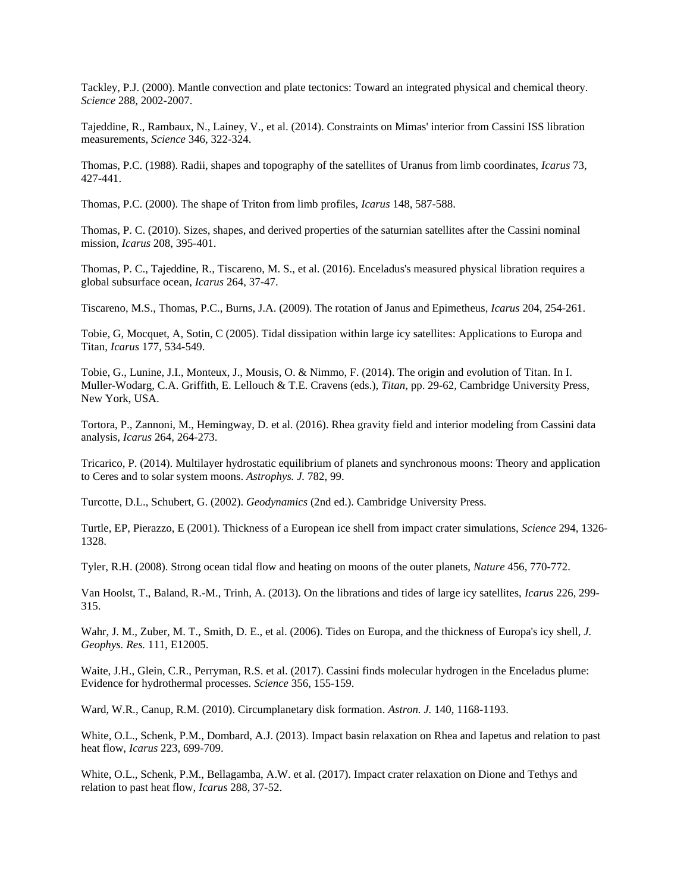Tackley, P.J. (2000). Mantle convection and plate tectonics: Toward an integrated physical and chemical theory. *Science* 288, 2002-2007.

Tajeddine, R., Rambaux, N., Lainey, V., et al. (2014). Constraints on Mimas' interior from Cassini ISS libration measurements, *Science* 346, 322-324.

Thomas, P.C. (1988). Radii, shapes and topography of the satellites of Uranus from limb coordinates, *Icarus* 73, 427-441.

Thomas, P.C. (2000). The shape of Triton from limb profiles, *Icarus* 148, 587-588.

Thomas, P. C. (2010). Sizes, shapes, and derived properties of the saturnian satellites after the Cassini nominal mission, *Icarus* 208, 395-401.

Thomas, P. C., Tajeddine, R., Tiscareno, M. S., et al. (2016). Enceladus's measured physical libration requires a global subsurface ocean, *Icarus* 264, 37-47.

Tiscareno, M.S., Thomas, P.C., Burns, J.A. (2009). The rotation of Janus and Epimetheus, *Icarus* 204, 254-261.

Tobie, G, Mocquet, A, Sotin, C (2005). Tidal dissipation within large icy satellites: Applications to Europa and Titan, *Icarus* 177, 534-549.

Tobie, G., Lunine, J.I., Monteux, J., Mousis, O. & Nimmo, F. (2014). The origin and evolution of Titan. In I. Muller-Wodarg, C.A. Griffith, E. Lellouch & T.E. Cravens (eds.), *Titan*, pp. 29-62, Cambridge University Press, New York, USA.

Tortora, P., Zannoni, M., Hemingway, D. et al. (2016). Rhea gravity field and interior modeling from Cassini data analysis, *Icarus* 264, 264-273.

Tricarico, P. (2014). Multilayer hydrostatic equilibrium of planets and synchronous moons: Theory and application to Ceres and to solar system moons. *Astrophys. J.* 782, 99.

Turcotte, D.L., Schubert, G. (2002). *Geodynamics* (2nd ed.). Cambridge University Press.

Turtle, EP, Pierazzo, E (2001). Thickness of a European ice shell from impact crater simulations, *Science* 294, 1326- 1328.

Tyler, R.H. (2008). Strong ocean tidal flow and heating on moons of the outer planets, *Nature* 456, 770-772.

Van Hoolst, T., Baland, R.-M., Trinh, A. (2013). On the librations and tides of large icy satellites, *Icarus* 226, 299- 315.

Wahr, J. M., Zuber, M. T., Smith, D. E., et al. (2006). Tides on Europa, and the thickness of Europa's icy shell, *J. Geophys. Res.* 111, E12005.

Waite, J.H., Glein, C.R., Perryman, R.S. et al. (2017). Cassini finds molecular hydrogen in the Enceladus plume: Evidence for hydrothermal processes. *Science* 356, 155-159.

Ward, W.R., Canup, R.M. (2010). Circumplanetary disk formation. *Astron. J.* 140, 1168-1193.

White, O.L., Schenk, P.M., Dombard, A.J. (2013). Impact basin relaxation on Rhea and Iapetus and relation to past heat flow, *Icarus* 223, 699-709.

White, O.L., Schenk, P.M., Bellagamba, A.W. et al. (2017). Impact crater relaxation on Dione and Tethys and relation to past heat flow, *Icarus* 288, 37-52.